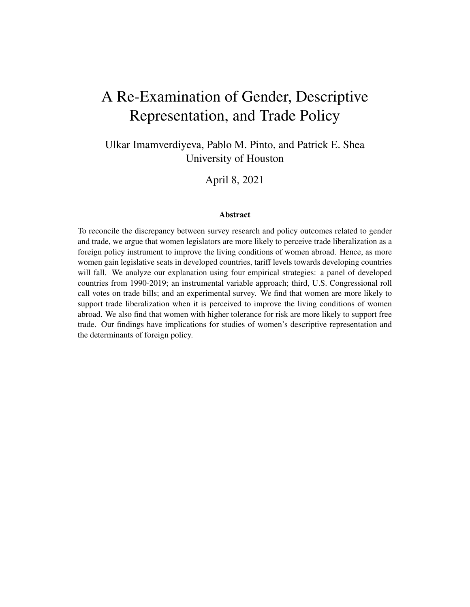# A Re-Examination of Gender, Descriptive Representation, and Trade Policy

Ulkar Imamverdiyeva, Pablo M. Pinto, and Patrick E. Shea University of Houston

April 8, 2021

#### Abstract

To reconcile the discrepancy between survey research and policy outcomes related to gender and trade, we argue that women legislators are more likely to perceive trade liberalization as a foreign policy instrument to improve the living conditions of women abroad. Hence, as more women gain legislative seats in developed countries, tariff levels towards developing countries will fall. We analyze our explanation using four empirical strategies: a panel of developed countries from 1990-2019; an instrumental variable approach; third, U.S. Congressional roll call votes on trade bills; and an experimental survey. We find that women are more likely to support trade liberalization when it is perceived to improve the living conditions of women abroad. We also find that women with higher tolerance for risk are more likely to support free trade. Our findings have implications for studies of women's descriptive representation and the determinants of foreign policy.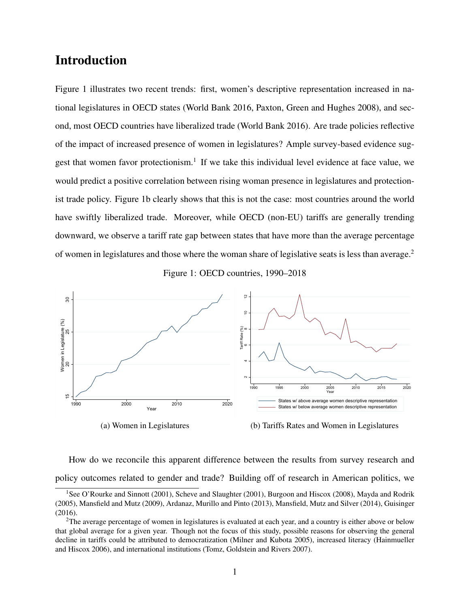### Introduction

Figure [1](#page-1-0) illustrates two recent trends: first, women's descriptive representation increased in national legislatures in OECD states [\(World Bank 2016,](#page-33-0) [Paxton, Green and Hughes 2008\)](#page-31-0), and second, most OECD countries have liberalized trade [\(World Bank 2016\)](#page-33-0). Are trade policies reflective of the impact of increased presence of women in legislatures? Ample survey-based evidence sug-gest that women favor protectionism.<sup>[1](#page-1-1)</sup> If we take this individual level evidence at face value, we would predict a positive correlation between rising woman presence in legislatures and protectionist trade policy. Figure [1b](#page-1-0) clearly shows that this is not the case: most countries around the world have swiftly liberalized trade. Moreover, while OECD (non-EU) tariffs are generally trending downward, we observe a tariff rate gap between states that have more than the average percentage of women in legislatures and those where the woman share of legislative seats is less than average.[2](#page-1-2)

Figure 1: OECD countries, 1990–2018

<span id="page-1-0"></span>

(b) Tariffs Rates and Women in Legislatures

How do we reconcile this apparent difference between the results from survey research and policy outcomes related to gender and trade? Building off of research in American politics, we

<span id="page-1-1"></span><sup>&</sup>lt;sup>1</sup>See [O'Rourke and Sinnott](#page-31-1) [\(2001\)](#page-31-2), [Scheve and Slaughter](#page-31-2) (2001), [Burgoon and Hiscox](#page-28-0) [\(2008\)](#page-28-0), [Mayda and Rodrik](#page-31-3) [\(2005\)](#page-31-3), [Mansfield and Mutz](#page-30-0) [\(2009\)](#page-30-0), [Ardanaz, Murillo and Pinto](#page-27-0) [\(2013\)](#page-27-0), [Mansfield, Mutz and Silver](#page-31-4) [\(2014\)](#page-31-4), [Guisinger](#page-29-0) [\(2016\)](#page-29-0).

<span id="page-1-2"></span> $2$ The average percentage of women in legislatures is evaluated at each year, and a country is either above or below that global average for a given year. Though not the focus of this study, possible reasons for observing the general decline in tariffs could be attributed to democratization [\(Milner and Kubota 2005\)](#page-31-5), increased literacy [\(Hainmueller](#page-29-1) [and Hiscox 2006\)](#page-29-1), and international institutions [\(Tomz, Goldstein and Rivers 2007\)](#page-32-0).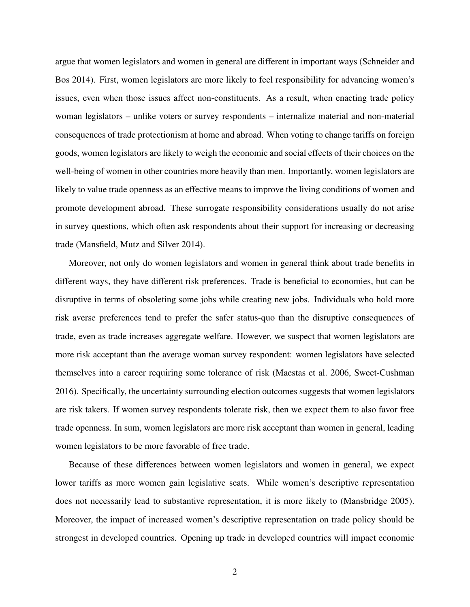argue that women legislators and women in general are different in important ways [\(Schneider and](#page-32-1) [Bos 2014\)](#page-32-1). First, women legislators are more likely to feel responsibility for advancing women's issues, even when those issues affect non-constituents. As a result, when enacting trade policy woman legislators – unlike voters or survey respondents – internalize material and non-material consequences of trade protectionism at home and abroad. When voting to change tariffs on foreign goods, women legislators are likely to weigh the economic and social effects of their choices on the well-being of women in other countries more heavily than men. Importantly, women legislators are likely to value trade openness as an effective means to improve the living conditions of women and promote development abroad. These surrogate responsibility considerations usually do not arise in survey questions, which often ask respondents about their support for increasing or decreasing trade [\(Mansfield, Mutz and Silver 2014\)](#page-31-4).

Moreover, not only do women legislators and women in general think about trade benefits in different ways, they have different risk preferences. Trade is beneficial to economies, but can be disruptive in terms of obsoleting some jobs while creating new jobs. Individuals who hold more risk averse preferences tend to prefer the safer status-quo than the disruptive consequences of trade, even as trade increases aggregate welfare. However, we suspect that women legislators are more risk acceptant than the average woman survey respondent: women legislators have selected themselves into a career requiring some tolerance of risk [\(Maestas et al. 2006,](#page-30-1) [Sweet-Cushman](#page-32-2) [2016\)](#page-32-2). Specifically, the uncertainty surrounding election outcomes suggests that women legislators are risk takers. If women survey respondents tolerate risk, then we expect them to also favor free trade openness. In sum, women legislators are more risk acceptant than women in general, leading women legislators to be more favorable of free trade.

Because of these differences between women legislators and women in general, we expect lower tariffs as more women gain legislative seats. While women's descriptive representation does not necessarily lead to substantive representation, it is more likely to [\(Mansbridge 2005\)](#page-30-2). Moreover, the impact of increased women's descriptive representation on trade policy should be strongest in developed countries. Opening up trade in developed countries will impact economic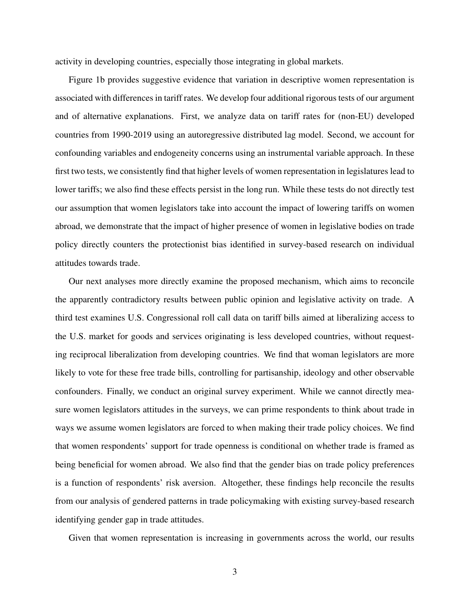activity in developing countries, especially those integrating in global markets.

Figure [1b](#page-1-0) provides suggestive evidence that variation in descriptive women representation is associated with differences in tariff rates. We develop four additional rigorous tests of our argument and of alternative explanations. First, we analyze data on tariff rates for (non-EU) developed countries from 1990-2019 using an autoregressive distributed lag model. Second, we account for confounding variables and endogeneity concerns using an instrumental variable approach. In these first two tests, we consistently find that higher levels of women representation in legislatures lead to lower tariffs; we also find these effects persist in the long run. While these tests do not directly test our assumption that women legislators take into account the impact of lowering tariffs on women abroad, we demonstrate that the impact of higher presence of women in legislative bodies on trade policy directly counters the protectionist bias identified in survey-based research on individual attitudes towards trade.

Our next analyses more directly examine the proposed mechanism, which aims to reconcile the apparently contradictory results between public opinion and legislative activity on trade. A third test examines U.S. Congressional roll call data on tariff bills aimed at liberalizing access to the U.S. market for goods and services originating is less developed countries, without requesting reciprocal liberalization from developing countries. We find that woman legislators are more likely to vote for these free trade bills, controlling for partisanship, ideology and other observable confounders. Finally, we conduct an original survey experiment. While we cannot directly measure women legislators attitudes in the surveys, we can prime respondents to think about trade in ways we assume women legislators are forced to when making their trade policy choices. We find that women respondents' support for trade openness is conditional on whether trade is framed as being beneficial for women abroad. We also find that the gender bias on trade policy preferences is a function of respondents' risk aversion. Altogether, these findings help reconcile the results from our analysis of gendered patterns in trade policymaking with existing survey-based research identifying gender gap in trade attitudes.

Given that women representation is increasing in governments across the world, our results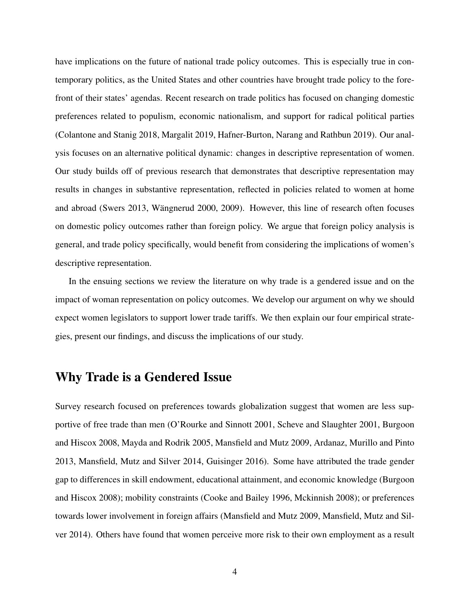have implications on the future of national trade policy outcomes. This is especially true in contemporary politics, as the United States and other countries have brought trade policy to the forefront of their states' agendas. Recent research on trade politics has focused on changing domestic preferences related to populism, economic nationalism, and support for radical political parties [\(Colantone and Stanig 2018,](#page-28-1) [Margalit 2019,](#page-31-6) [Hafner-Burton, Narang and Rathbun 2019\)](#page-29-2). Our analysis focuses on an alternative political dynamic: changes in descriptive representation of women. Our study builds off of previous research that demonstrates that descriptive representation may results in changes in substantive representation, reflected in policies related to women at home and abroad [\(Swers 2013,](#page-32-3) Wängnerud 2000, [2009\)](#page-33-1). However, this line of research often focuses on domestic policy outcomes rather than foreign policy. We argue that foreign policy analysis is general, and trade policy specifically, would benefit from considering the implications of women's descriptive representation.

In the ensuing sections we review the literature on why trade is a gendered issue and on the impact of woman representation on policy outcomes. We develop our argument on why we should expect women legislators to support lower trade tariffs. We then explain our four empirical strategies, present our findings, and discuss the implications of our study.

### Why Trade is a Gendered Issue

Survey research focused on preferences towards globalization suggest that women are less supportive of free trade than men [\(O'Rourke and Sinnott 2001,](#page-31-1) [Scheve and Slaughter 2001,](#page-31-2) [Burgoon](#page-28-0) [and Hiscox 2008,](#page-28-0) [Mayda and Rodrik 2005,](#page-31-3) [Mansfield and Mutz 2009,](#page-30-0) [Ardanaz, Murillo and Pinto](#page-27-0) [2013,](#page-27-0) [Mansfield, Mutz and Silver 2014,](#page-31-4) [Guisinger 2016\)](#page-29-0). Some have attributed the trade gender gap to differences in skill endowment, educational attainment, and economic knowledge [\(Burgoon](#page-28-0) [and Hiscox 2008\)](#page-28-0); mobility constraints [\(Cooke and Bailey 1996,](#page-28-2) [Mckinnish 2008\)](#page-31-7); or preferences towards lower involvement in foreign affairs [\(Mansfield and Mutz 2009,](#page-30-0) [Mansfield, Mutz and Sil](#page-31-4)[ver 2014\)](#page-31-4). Others have found that women perceive more risk to their own employment as a result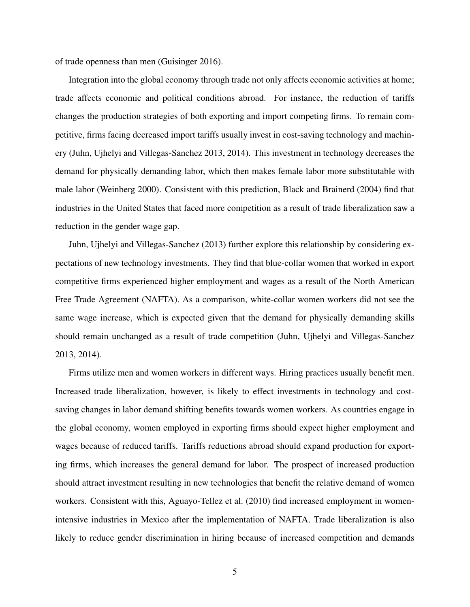of trade openness than men [\(Guisinger 2016\)](#page-29-0).

Integration into the global economy through trade not only affects economic activities at home; trade affects economic and political conditions abroad. For instance, the reduction of tariffs changes the production strategies of both exporting and import competing firms. To remain competitive, firms facing decreased import tariffs usually invest in cost-saving technology and machinery [\(Juhn, Ujhelyi and Villegas-Sanchez 2013,](#page-30-3) [2014\)](#page-30-4). This investment in technology decreases the demand for physically demanding labor, which then makes female labor more substitutable with male labor [\(Weinberg 2000\)](#page-33-2). Consistent with this prediction, [Black and Brainerd](#page-27-1) [\(2004\)](#page-27-1) find that industries in the United States that faced more competition as a result of trade liberalization saw a reduction in the gender wage gap.

[Juhn, Ujhelyi and Villegas-Sanchez](#page-30-3) [\(2013\)](#page-30-3) further explore this relationship by considering expectations of new technology investments. They find that blue-collar women that worked in export competitive firms experienced higher employment and wages as a result of the North American Free Trade Agreement (NAFTA). As a comparison, white-collar women workers did not see the same wage increase, which is expected given that the demand for physically demanding skills should remain unchanged as a result of trade competition [\(Juhn, Ujhelyi and Villegas-Sanchez](#page-30-3) [2013,](#page-30-3) [2014\)](#page-30-4).

Firms utilize men and women workers in different ways. Hiring practices usually benefit men. Increased trade liberalization, however, is likely to effect investments in technology and costsaving changes in labor demand shifting benefits towards women workers. As countries engage in the global economy, women employed in exporting firms should expect higher employment and wages because of reduced tariffs. Tariffs reductions abroad should expand production for exporting firms, which increases the general demand for labor. The prospect of increased production should attract investment resulting in new technologies that benefit the relative demand of women workers. Consistent with this, [Aguayo-Tellez et al.](#page-27-2) [\(2010\)](#page-27-2) find increased employment in womenintensive industries in Mexico after the implementation of NAFTA. Trade liberalization is also likely to reduce gender discrimination in hiring because of increased competition and demands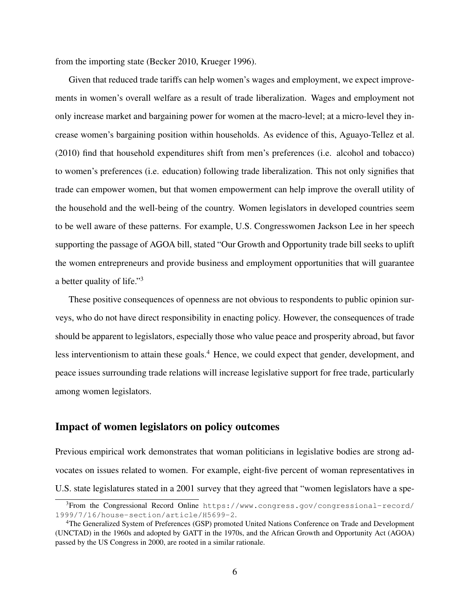from the importing state [\(Becker 2010,](#page-27-3) [Krueger 1996\)](#page-30-5).

Given that reduced trade tariffs can help women's wages and employment, we expect improvements in women's overall welfare as a result of trade liberalization. Wages and employment not only increase market and bargaining power for women at the macro-level; at a micro-level they increase women's bargaining position within households. As evidence of this, [Aguayo-Tellez et al.](#page-27-2) [\(2010\)](#page-27-2) find that household expenditures shift from men's preferences (i.e. alcohol and tobacco) to women's preferences (i.e. education) following trade liberalization. This not only signifies that trade can empower women, but that women empowerment can help improve the overall utility of the household and the well-being of the country. Women legislators in developed countries seem to be well aware of these patterns. For example, U.S. Congresswomen Jackson Lee in her speech supporting the passage of AGOA bill, stated "Our Growth and Opportunity trade bill seeks to uplift the women entrepreneurs and provide business and employment opportunities that will guarantee a better quality of life."[3](#page-6-0)

These positive consequences of openness are not obvious to respondents to public opinion surveys, who do not have direct responsibility in enacting policy. However, the consequences of trade should be apparent to legislators, especially those who value peace and prosperity abroad, but favor less interventionism to attain these goals.<sup>[4](#page-6-1)</sup> Hence, we could expect that gender, development, and peace issues surrounding trade relations will increase legislative support for free trade, particularly among women legislators.

#### Impact of women legislators on policy outcomes

Previous empirical work demonstrates that woman politicians in legislative bodies are strong advocates on issues related to women. For example, eight-five percent of woman representatives in U.S. state legislatures stated in a 2001 survey that they agreed that "women legislators have a spe-

<span id="page-6-0"></span><sup>3</sup>From the Congressional Record Online [https://www.congress.gov/congressional-record/](https://www.congress.gov/congressional-record/1999/7/16/house-section/article/H5699-2) [1999/7/16/house-section/article/H5699-2](https://www.congress.gov/congressional-record/1999/7/16/house-section/article/H5699-2).

<span id="page-6-1"></span><sup>4</sup>The Generalized System of Preferences (GSP) promoted United Nations Conference on Trade and Development (UNCTAD) in the 1960s and adopted by GATT in the 1970s, and the African Growth and Opportunity Act (AGOA) passed by the US Congress in 2000, are rooted in a similar rationale.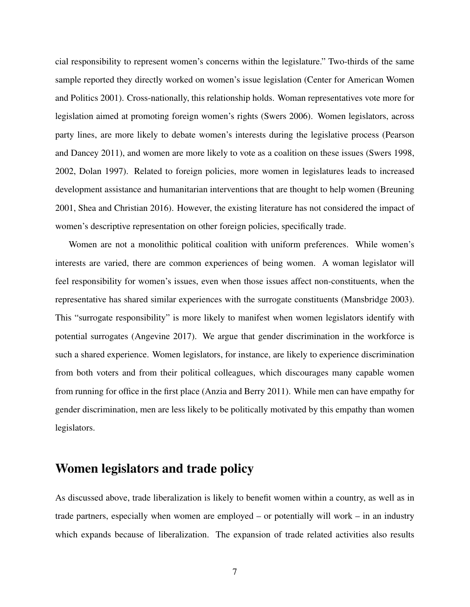cial responsibility to represent women's concerns within the legislature." Two-thirds of the same sample reported they directly worked on women's issue legislation [\(Center for American Women](#page-28-3) [and Politics 2001\)](#page-28-3). Cross-nationally, this relationship holds. Woman representatives vote more for legislation aimed at promoting foreign women's rights [\(Swers 2006\)](#page-32-5). Women legislators, across party lines, are more likely to debate women's interests during the legislative process [\(Pearson](#page-31-8) [and Dancey 2011\)](#page-31-8), and women are more likely to vote as a coalition on these issues [\(Swers 1998,](#page-32-6) [2002,](#page-32-7) [Dolan 1997\)](#page-29-3). Related to foreign policies, more women in legislatures leads to increased development assistance and humanitarian interventions that are thought to help women [\(Breuning](#page-28-4) [2001,](#page-28-4) [Shea and Christian 2016\)](#page-32-8). However, the existing literature has not considered the impact of women's descriptive representation on other foreign policies, specifically trade.

Women are not a monolithic political coalition with uniform preferences. While women's interests are varied, there are common experiences of being women. A woman legislator will feel responsibility for women's issues, even when those issues affect non-constituents, when the representative has shared similar experiences with the surrogate constituents [\(Mansbridge 2003\)](#page-30-6). This "surrogate responsibility" is more likely to manifest when women legislators identify with potential surrogates [\(Angevine 2017\)](#page-27-4). We argue that gender discrimination in the workforce is such a shared experience. Women legislators, for instance, are likely to experience discrimination from both voters and from their political colleagues, which discourages many capable women from running for office in the first place [\(Anzia and Berry 2011\)](#page-27-5). While men can have empathy for gender discrimination, men are less likely to be politically motivated by this empathy than women legislators.

### Women legislators and trade policy

As discussed above, trade liberalization is likely to benefit women within a country, as well as in trade partners, especially when women are employed – or potentially will work – in an industry which expands because of liberalization. The expansion of trade related activities also results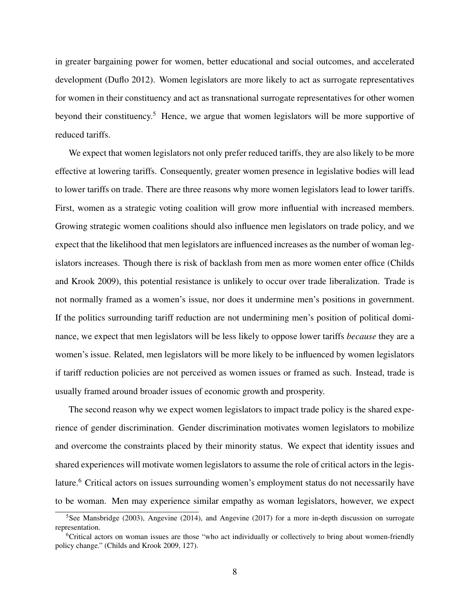in greater bargaining power for women, better educational and social outcomes, and accelerated development [\(Duflo 2012\)](#page-29-4). Women legislators are more likely to act as surrogate representatives for women in their constituency and act as transnational surrogate representatives for other women beyond their constituency.<sup>[5](#page-8-0)</sup> Hence, we argue that women legislators will be more supportive of reduced tariffs.

We expect that women legislators not only prefer reduced tariffs, they are also likely to be more effective at lowering tariffs. Consequently, greater women presence in legislative bodies will lead to lower tariffs on trade. There are three reasons why more women legislators lead to lower tariffs. First, women as a strategic voting coalition will grow more influential with increased members. Growing strategic women coalitions should also influence men legislators on trade policy, and we expect that the likelihood that men legislators are influenced increases as the number of woman legislators increases. Though there is risk of backlash from men as more women enter office [\(Childs](#page-28-5) [and Krook 2009\)](#page-28-5), this potential resistance is unlikely to occur over trade liberalization. Trade is not normally framed as a women's issue, nor does it undermine men's positions in government. If the politics surrounding tariff reduction are not undermining men's position of political dominance, we expect that men legislators will be less likely to oppose lower tariffs *because* they are a women's issue. Related, men legislators will be more likely to be influenced by women legislators if tariff reduction policies are not perceived as women issues or framed as such. Instead, trade is usually framed around broader issues of economic growth and prosperity.

The second reason why we expect women legislators to impact trade policy is the shared experience of gender discrimination. Gender discrimination motivates women legislators to mobilize and overcome the constraints placed by their minority status. We expect that identity issues and shared experiences will motivate women legislators to assume the role of critical actors in the legis-lature.<sup>[6](#page-8-1)</sup> Critical actors on issues surrounding women's employment status do not necessarily have to be woman. Men may experience similar empathy as woman legislators, however, we expect

<span id="page-8-0"></span><sup>&</sup>lt;sup>5</sup>See [Mansbridge](#page-30-6) [\(2003\)](#page-30-6), [Angevine](#page-27-4) [\(2014\)](#page-27-6), and Angevine [\(2017\)](#page-27-4) for a more in-depth discussion on surrogate representation.

<span id="page-8-1"></span><sup>6</sup>Critical actors on woman issues are those "who act individually or collectively to bring about women-friendly policy change." [\(Childs and Krook 2009,](#page-28-5) 127).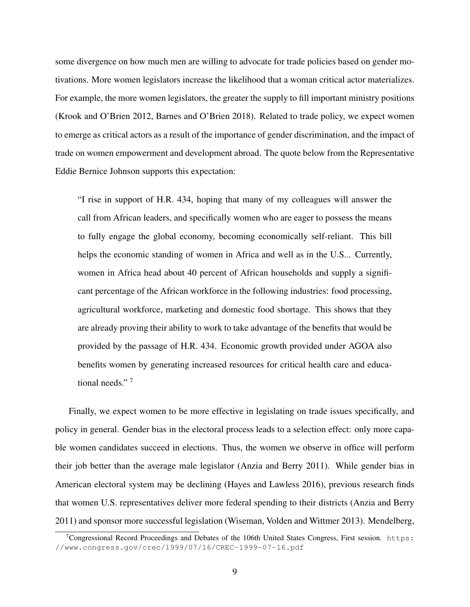some divergence on how much men are willing to advocate for trade policies based on gender motivations. More women legislators increase the likelihood that a woman critical actor materializes. For example, the more women legislators, the greater the supply to fill important ministry positions [\(Krook and O'Brien 2012,](#page-30-7) [Barnes and O'Brien 2018\)](#page-27-7). Related to trade policy, we expect women to emerge as critical actors as a result of the importance of gender discrimination, and the impact of trade on women empowerment and development abroad. The quote below from the Representative Eddie Bernice Johnson supports this expectation:

"I rise in support of H.R. 434, hoping that many of my colleagues will answer the call from African leaders, and specifically women who are eager to possess the means to fully engage the global economy, becoming economically self-reliant. This bill helps the economic standing of women in Africa and well as in the U.S... Currently, women in Africa head about 40 percent of African households and supply a significant percentage of the African workforce in the following industries: food processing, agricultural workforce, marketing and domestic food shortage. This shows that they are already proving their ability to work to take advantage of the benefits that would be provided by the passage of H.R. 434. Economic growth provided under AGOA also benefits women by generating increased resources for critical health care and educational needs." [7](#page-9-0)

Finally, we expect women to be more effective in legislating on trade issues specifically, and policy in general. Gender bias in the electoral process leads to a selection effect: only more capable women candidates succeed in elections. Thus, the women we observe in office will perform their job better than the average male legislator [\(Anzia and Berry 2011\)](#page-27-5). While gender bias in American electoral system may be declining [\(Hayes and Lawless 2016\)](#page-29-5), previous research finds that women U.S. representatives deliver more federal spending to their districts [\(Anzia and Berry](#page-27-5) [2011\)](#page-27-5) and sponsor more successful legislation [\(Wiseman, Volden and Wittmer 2013\)](#page-33-3). [Mendelberg,](#page-31-9)

<span id="page-9-0"></span><sup>&</sup>lt;sup>7</sup>[Congressional Record Proceedings and Debates of the 106th United States Congress, First session.](#page-31-9) [https:](https://www.congress.gov/crec/1999/07/16/CREC-1999-07-16.pdf) [//www.congress.gov/crec/1999/07/16/CREC-1999-07-16.pdf](#page-31-9)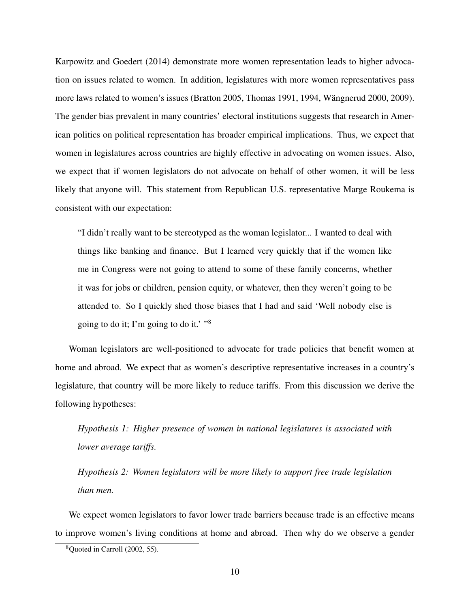[Karpowitz and Goedert](#page-31-9) [\(2014\)](#page-31-9) demonstrate more women representation leads to higher advocation on issues related to women. In addition, legislatures with more women representatives pass more laws related to women's issues [\(Bratton 2005,](#page-27-8) [Thomas 1991,](#page-32-9) [1994,](#page-32-10) Wängnerud 2000, [2009\)](#page-33-1). The gender bias prevalent in many countries' electoral institutions suggests that research in American politics on political representation has broader empirical implications. Thus, we expect that women in legislatures across countries are highly effective in advocating on women issues. Also, we expect that if women legislators do not advocate on behalf of other women, it will be less likely that anyone will. This statement from Republican U.S. representative Marge Roukema is consistent with our expectation:

"I didn't really want to be stereotyped as the woman legislator... I wanted to deal with things like banking and finance. But I learned very quickly that if the women like me in Congress were not going to attend to some of these family concerns, whether it was for jobs or children, pension equity, or whatever, then they weren't going to be attended to. So I quickly shed those biases that I had and said 'Well nobody else is going to do it; I'm going to do it.' "[8](#page-10-0)

Woman legislators are well-positioned to advocate for trade policies that benefit women at home and abroad. We expect that as women's descriptive representative increases in a country's legislature, that country will be more likely to reduce tariffs. From this discussion we derive the following hypotheses:

*Hypothesis 1: Higher presence of women in national legislatures is associated with lower average tariffs.*

*Hypothesis 2: Women legislators will be more likely to support free trade legislation than men.*

We expect women legislators to favor lower trade barriers because trade is an effective means to improve women's living conditions at home and abroad. Then why do we observe a gender

<span id="page-10-0"></span> $8$ Quoted in [Carroll](#page-28-6) [\(2002,](#page-28-6) 55).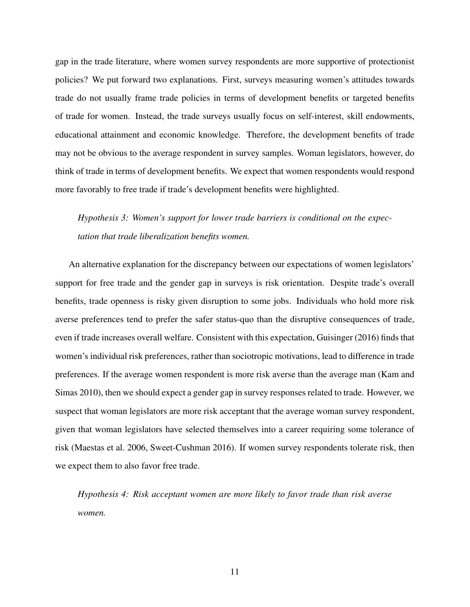gap in the trade literature, where women survey respondents are more supportive of protectionist policies? We put forward two explanations. First, surveys measuring women's attitudes towards trade do not usually frame trade policies in terms of development benefits or targeted benefits of trade for women. Instead, the trade surveys usually focus on self-interest, skill endowments, educational attainment and economic knowledge. Therefore, the development benefits of trade may not be obvious to the average respondent in survey samples. Woman legislators, however, do think of trade in terms of development benefits. We expect that women respondents would respond more favorably to free trade if trade's development benefits were highlighted.

*Hypothesis 3: Women's support for lower trade barriers is conditional on the expectation that trade liberalization benefits women.*

An alternative explanation for the discrepancy between our expectations of women legislators' support for free trade and the gender gap in surveys is risk orientation. Despite trade's overall benefits, trade openness is risky given disruption to some jobs. Individuals who hold more risk averse preferences tend to prefer the safer status-quo than the disruptive consequences of trade, even if trade increases overall welfare. Consistent with this expectation, [Guisinger](#page-29-0) [\(2016\)](#page-29-0) finds that women's individual risk preferences, rather than sociotropic motivations, lead to difference in trade preferences. If the average women respondent is more risk averse than the average man [\(Kam and](#page-30-8) [Simas 2010\)](#page-30-8), then we should expect a gender gap in survey responses related to trade. However, we suspect that woman legislators are more risk acceptant that the average woman survey respondent, given that woman legislators have selected themselves into a career requiring some tolerance of risk [\(Maestas et al. 2006,](#page-30-1) [Sweet-Cushman 2016\)](#page-32-2). If women survey respondents tolerate risk, then we expect them to also favor free trade.

*Hypothesis 4: Risk acceptant women are more likely to favor trade than risk averse women.*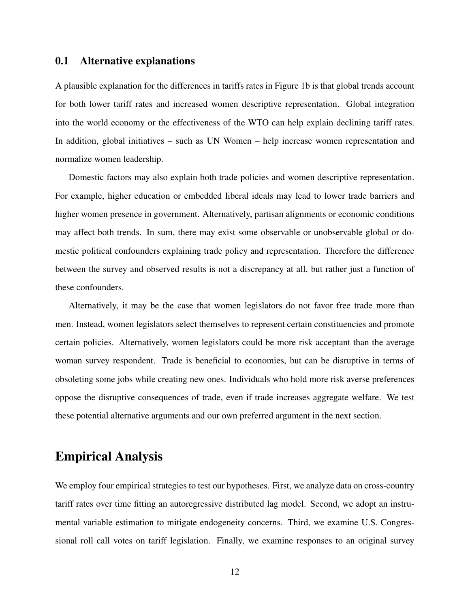#### 0.1 Alternative explanations

A plausible explanation for the differences in tariffs rates in Figure [1b](#page-1-0) is that global trends account for both lower tariff rates and increased women descriptive representation. Global integration into the world economy or the effectiveness of the WTO can help explain declining tariff rates. In addition, global initiatives – such as UN Women – help increase women representation and normalize women leadership.

Domestic factors may also explain both trade policies and women descriptive representation. For example, higher education or embedded liberal ideals may lead to lower trade barriers and higher women presence in government. Alternatively, partisan alignments or economic conditions may affect both trends. In sum, there may exist some observable or unobservable global or domestic political confounders explaining trade policy and representation. Therefore the difference between the survey and observed results is not a discrepancy at all, but rather just a function of these confounders.

Alternatively, it may be the case that women legislators do not favor free trade more than men. Instead, women legislators select themselves to represent certain constituencies and promote certain policies. Alternatively, women legislators could be more risk acceptant than the average woman survey respondent. Trade is beneficial to economies, but can be disruptive in terms of obsoleting some jobs while creating new ones. Individuals who hold more risk averse preferences oppose the disruptive consequences of trade, even if trade increases aggregate welfare. We test these potential alternative arguments and our own preferred argument in the next section.

### Empirical Analysis

We employ four empirical strategies to test our hypotheses. First, we analyze data on cross-country tariff rates over time fitting an autoregressive distributed lag model. Second, we adopt an instrumental variable estimation to mitigate endogeneity concerns. Third, we examine U.S. Congressional roll call votes on tariff legislation. Finally, we examine responses to an original survey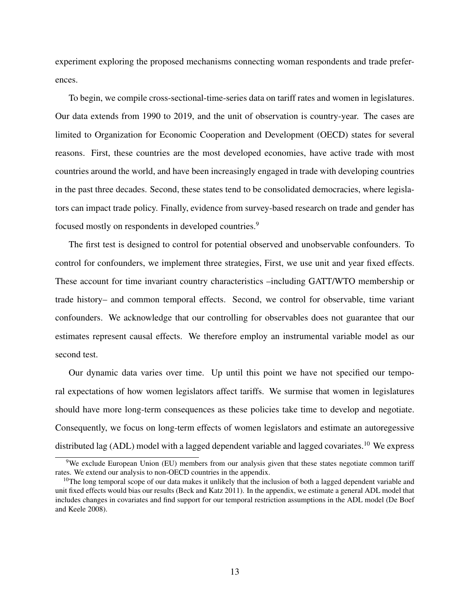experiment exploring the proposed mechanisms connecting woman respondents and trade preferences.

To begin, we compile cross-sectional-time-series data on tariff rates and women in legislatures. Our data extends from 1990 to 2019, and the unit of observation is country-year. The cases are limited to Organization for Economic Cooperation and Development (OECD) states for several reasons. First, these countries are the most developed economies, have active trade with most countries around the world, and have been increasingly engaged in trade with developing countries in the past three decades. Second, these states tend to be consolidated democracies, where legislators can impact trade policy. Finally, evidence from survey-based research on trade and gender has focused mostly on respondents in developed countries.<sup>[9](#page-13-0)</sup>

The first test is designed to control for potential observed and unobservable confounders. To control for confounders, we implement three strategies, First, we use unit and year fixed effects. These account for time invariant country characteristics –including GATT/WTO membership or trade history– and common temporal effects. Second, we control for observable, time variant confounders. We acknowledge that our controlling for observables does not guarantee that our estimates represent causal effects. We therefore employ an instrumental variable model as our second test.

Our dynamic data varies over time. Up until this point we have not specified our temporal expectations of how women legislators affect tariffs. We surmise that women in legislatures should have more long-term consequences as these policies take time to develop and negotiate. Consequently, we focus on long-term effects of women legislators and estimate an autoregessive distributed lag (ADL) model with a lagged dependent variable and lagged covariates.<sup>[10](#page-13-1)</sup> We express

<span id="page-13-0"></span><sup>&</sup>lt;sup>9</sup>We exclude European Union (EU) members from our analysis given that these states negotiate common tariff rates. We extend our analysis to non-OECD countries in the appendix.

<span id="page-13-1"></span> $10$ The long temporal scope of our data makes it unlikely that the inclusion of both a lagged dependent variable and unit fixed effects would bias our results [\(Beck and Katz 2011\)](#page-27-9). In the appendix, we estimate a general ADL model that includes changes in covariates and find support for our temporal restriction assumptions in the ADL model [\(De Boef](#page-29-6) [and Keele 2008\)](#page-29-6).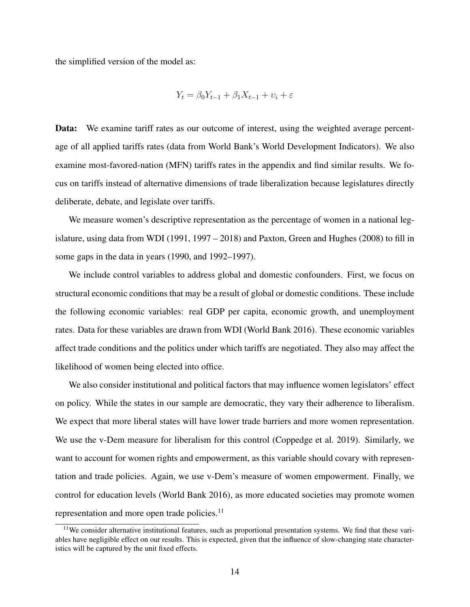the simplified version of the model as:

$$
Y_t = \beta_0 Y_{t-1} + \beta_1 X_{t-1} + \nu_i + \varepsilon
$$

Data: We examine tariff rates as our outcome of interest, using the weighted average percentage of all applied tariffs rates (data from World Bank's World Development Indicators). We also examine most-favored-nation (MFN) tariffs rates in the appendix and find similar results. We focus on tariffs instead of alternative dimensions of trade liberalization because legislatures directly deliberate, debate, and legislate over tariffs.

We measure women's descriptive representation as the percentage of women in a national legislature, using data from WDI (1991, 1997 – 2018) and [Paxton, Green and Hughes](#page-31-0) [\(2008\)](#page-31-0) to fill in some gaps in the data in years (1990, and 1992–1997).

We include control variables to address global and domestic confounders. First, we focus on structural economic conditions that may be a result of global or domestic conditions. These include the following economic variables: real GDP per capita, economic growth, and unemployment rates. Data for these variables are drawn from WDI [\(World Bank 2016\)](#page-33-0). These economic variables affect trade conditions and the politics under which tariffs are negotiated. They also may affect the likelihood of women being elected into office.

We also consider institutional and political factors that may influence women legislators' effect on policy. While the states in our sample are democratic, they vary their adherence to liberalism. We expect that more liberal states will have lower trade barriers and more women representation. We use the v-Dem measure for liberalism for this control [\(Coppedge et al. 2019\)](#page-28-7). Similarly, we want to account for women rights and empowerment, as this variable should covary with representation and trade policies. Again, we use v-Dem's measure of women empowerment. Finally, we control for education levels [\(World Bank 2016\)](#page-33-0), as more educated societies may promote women representation and more open trade policies.<sup>[11](#page-14-0)</sup>

<span id="page-14-0"></span> $11$ We consider alternative institutional features, such as proportional presentation systems. We find that these variables have negligible effect on our results. This is expected, given that the influence of slow-changing state characteristics will be captured by the unit fixed effects.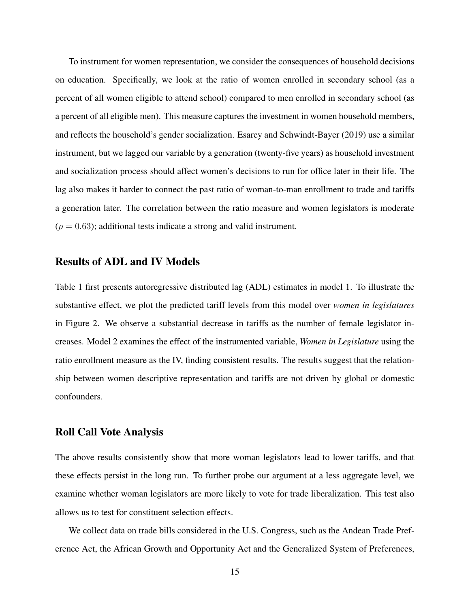To instrument for women representation, we consider the consequences of household decisions on education. Specifically, we look at the ratio of women enrolled in secondary school (as a percent of all women eligible to attend school) compared to men enrolled in secondary school (as a percent of all eligible men). This measure captures the investment in women household members, and reflects the household's gender socialization. [Esarey and Schwindt-Bayer](#page-29-7) [\(2019\)](#page-29-7) use a similar instrument, but we lagged our variable by a generation (twenty-five years) as household investment and socialization process should affect women's decisions to run for office later in their life. The lag also makes it harder to connect the past ratio of woman-to-man enrollment to trade and tariffs a generation later. The correlation between the ratio measure and women legislators is moderate  $(\rho = 0.63)$ ; additional tests indicate a strong and valid instrument.

#### Results of ADL and IV Models

Table [1](#page-16-0) first presents autoregressive distributed lag (ADL) estimates in model 1. To illustrate the substantive effect, we plot the predicted tariff levels from this model over *women in legislatures* in Figure [2.](#page-17-0) We observe a substantial decrease in tariffs as the number of female legislator increases. Model 2 examines the effect of the instrumented variable, *Women in Legislature* using the ratio enrollment measure as the IV, finding consistent results. The results suggest that the relationship between women descriptive representation and tariffs are not driven by global or domestic confounders.

#### Roll Call Vote Analysis

The above results consistently show that more woman legislators lead to lower tariffs, and that these effects persist in the long run. To further probe our argument at a less aggregate level, we examine whether woman legislators are more likely to vote for trade liberalization. This test also allows us to test for constituent selection effects.

We collect data on trade bills considered in the U.S. Congress, such as the Andean Trade Preference Act, the African Growth and Opportunity Act and the Generalized System of Preferences,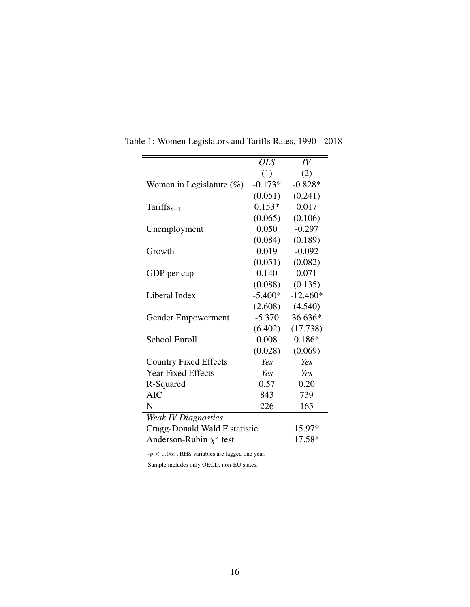| <b>OLS</b>                    | IV         |  |  |
|-------------------------------|------------|--|--|
| (1)                           | (2)        |  |  |
| $-0.173*$                     | $-0.828*$  |  |  |
| (0.051)                       | (0.241)    |  |  |
| $0.153*$                      | 0.017      |  |  |
| (0.065)                       | (0.106)    |  |  |
| 0.050                         | $-0.297$   |  |  |
| (0.084)                       | (0.189)    |  |  |
| 0.019                         | $-0.092$   |  |  |
| (0.051)                       | (0.082)    |  |  |
| 0.140                         | 0.071      |  |  |
| (0.088)                       | (0.135)    |  |  |
| $-5.400*$                     | $-12.460*$ |  |  |
| (2.608)                       | (4.540)    |  |  |
| $-5.370$                      | 36.636*    |  |  |
|                               | (17.738)   |  |  |
| 0.008                         | $0.186*$   |  |  |
| (0.028)                       | (0.069)    |  |  |
| Yes                           | Yes        |  |  |
| Yes                           | Yes        |  |  |
| 0.57                          | 0.20       |  |  |
| 843                           | 739        |  |  |
| 226                           | 165        |  |  |
| <b>Weak IV Diagnostics</b>    |            |  |  |
| Cragg-Donald Wald F statistic |            |  |  |
|                               | 17.58*     |  |  |
|                               | (6.402)    |  |  |

<span id="page-16-0"></span>Table 1: Women Legislators and Tariffs Rates, 1990 - 2018

∗p < 0.05; ; RHS variables are lagged one year.

Sample includes only OECD, non-EU states.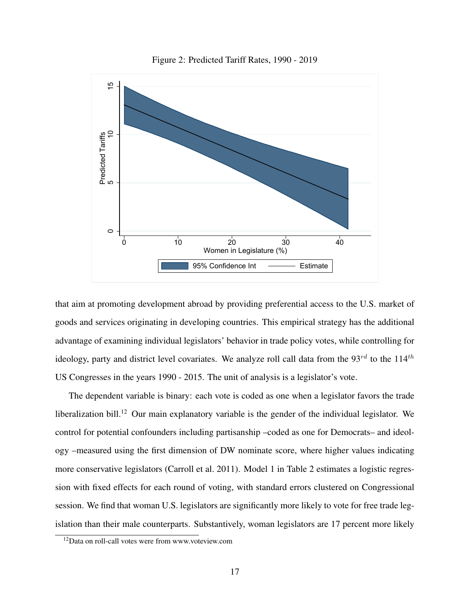<span id="page-17-0"></span>

Figure 2: Predicted Tariff Rates, 1990 - 2019

that aim at promoting development abroad by providing preferential access to the U.S. market of goods and services originating in developing countries. This empirical strategy has the additional advantage of examining individual legislators' behavior in trade policy votes, while controlling for ideology, party and district level covariates. We analyze roll call data from the  $93^{rd}$  to the  $114^{th}$ US Congresses in the years 1990 - 2015. The unit of analysis is a legislator's vote.

The dependent variable is binary: each vote is coded as one when a legislator favors the trade liberalization bill.<sup>[12](#page-17-1)</sup> Our main explanatory variable is the gender of the individual legislator. We control for potential confounders including partisanship –coded as one for Democrats– and ideology –measured using the first dimension of DW nominate score, where higher values indicating more conservative legislators [\(Carroll et al. 2011\)](#page-28-8). Model 1 in Table [2](#page-18-0) estimates a logistic regression with fixed effects for each round of voting, with standard errors clustered on Congressional session. We find that woman U.S. legislators are significantly more likely to vote for free trade legislation than their male counterparts. Substantively, woman legislators are 17 percent more likely

<span id="page-17-1"></span><sup>12</sup>Data on roll-call votes were from www.voteview.com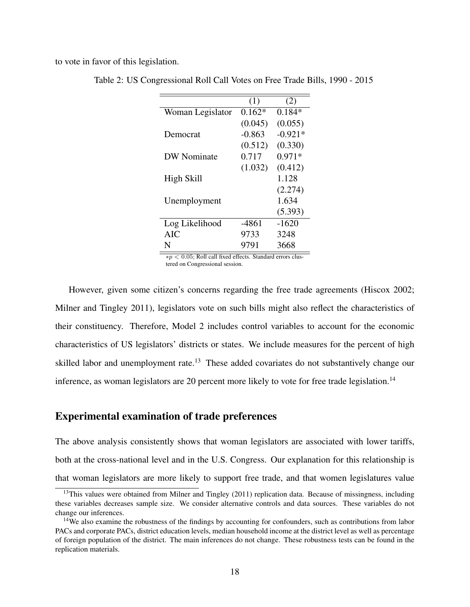<span id="page-18-0"></span>to vote in favor of this legislation.

|                    | (1)      | (2)       |
|--------------------|----------|-----------|
| Woman Legislator   | $0.162*$ | $0.184*$  |
|                    | (0.045)  | (0.055)   |
| Democrat           | $-0.863$ | $-0.921*$ |
|                    | (0.512)  | (0.330)   |
| <b>DW</b> Nominate | 0.717    | $0.971*$  |
|                    | (1.032)  | (0.412)   |
| High Skill         |          | 1.128     |
|                    |          | (2.274)   |
| Unemployment       |          | 1.634     |
|                    |          | (5.393)   |
| Log Likelihood     | $-4861$  | $-1620$   |
| AIC                | 9733     | 3248      |
| N                  | 9791     | 3668      |

Table 2: US Congressional Roll Call Votes on Free Trade Bills, 1990 - 2015

∗p < 0.05; Roll call fixed effects. Standard errors clustered on Congressional session.

However, given some citizen's concerns regarding the free trade agreements [\(Hiscox 2002;](#page-29-8) [Milner and Tingley 2011\)](#page-31-10), legislators vote on such bills might also reflect the characteristics of their constituency. Therefore, Model 2 includes control variables to account for the economic characteristics of US legislators' districts or states. We include measures for the percent of high skilled labor and unemployment rate.<sup>[13](#page-18-1)</sup> These added covariates do not substantively change our inference, as woman legislators are 20 percent more likely to vote for free trade legislation.<sup>[14](#page-18-2)</sup>

#### Experimental examination of trade preferences

The above analysis consistently shows that woman legislators are associated with lower tariffs, both at the cross-national level and in the U.S. Congress. Our explanation for this relationship is that woman legislators are more likely to support free trade, and that women legislatures value

<span id="page-18-1"></span> $13$ This values were obtained from [Milner and Tingley](#page-31-10) [\(2011\)](#page-31-10) replication data. Because of missingness, including these variables decreases sample size. We consider alternative controls and data sources. These variables do not change our inferences.

<span id="page-18-2"></span><sup>&</sup>lt;sup>14</sup>We also examine the robustness of the findings by accounting for confounders, such as contributions from labor PACs and corporate PACs, district education levels, median household income at the district level as well as percentage of foreign population of the district. The main inferences do not change. These robustness tests can be found in the replication materials.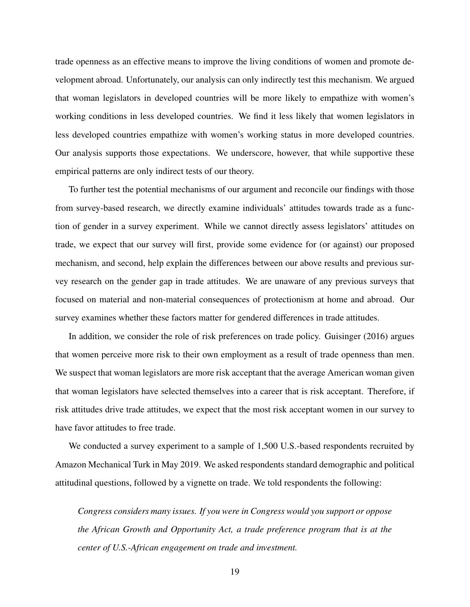trade openness as an effective means to improve the living conditions of women and promote development abroad. Unfortunately, our analysis can only indirectly test this mechanism. We argued that woman legislators in developed countries will be more likely to empathize with women's working conditions in less developed countries. We find it less likely that women legislators in less developed countries empathize with women's working status in more developed countries. Our analysis supports those expectations. We underscore, however, that while supportive these empirical patterns are only indirect tests of our theory.

To further test the potential mechanisms of our argument and reconcile our findings with those from survey-based research, we directly examine individuals' attitudes towards trade as a function of gender in a survey experiment. While we cannot directly assess legislators' attitudes on trade, we expect that our survey will first, provide some evidence for (or against) our proposed mechanism, and second, help explain the differences between our above results and previous survey research on the gender gap in trade attitudes. We are unaware of any previous surveys that focused on material and non-material consequences of protectionism at home and abroad. Our survey examines whether these factors matter for gendered differences in trade attitudes.

In addition, we consider the role of risk preferences on trade policy. [Guisinger](#page-29-0) [\(2016\)](#page-29-0) argues that women perceive more risk to their own employment as a result of trade openness than men. We suspect that woman legislators are more risk acceptant that the average American woman given that woman legislators have selected themselves into a career that is risk acceptant. Therefore, if risk attitudes drive trade attitudes, we expect that the most risk acceptant women in our survey to have favor attitudes to free trade.

We conducted a survey experiment to a sample of 1,500 U.S.-based respondents recruited by Amazon Mechanical Turk in May 2019. We asked respondents standard demographic and political attitudinal questions, followed by a vignette on trade. We told respondents the following:

*Congress considers many issues. If you were in Congress would you support or oppose the African Growth and Opportunity Act, a trade preference program that is at the center of U.S.-African engagement on trade and investment.*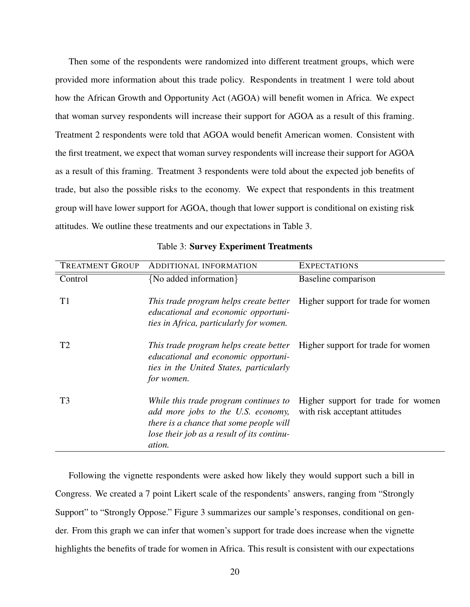Then some of the respondents were randomized into different treatment groups, which were provided more information about this trade policy. Respondents in treatment 1 were told about how the African Growth and Opportunity Act (AGOA) will benefit women in Africa. We expect that woman survey respondents will increase their support for AGOA as a result of this framing. Treatment 2 respondents were told that AGOA would benefit American women. Consistent with the first treatment, we expect that woman survey respondents will increase their support for AGOA as a result of this framing. Treatment 3 respondents were told about the expected job benefits of trade, but also the possible risks to the economy. We expect that respondents in this treatment group will have lower support for AGOA, though that lower support is conditional on existing risk attitudes. We outline these treatments and our expectations in Table [3.](#page-20-0)

<span id="page-20-0"></span>

| <b>TREATMENT GROUP</b> | ADDITIONAL INFORMATION                                                                                                                                                         | <b>EXPECTATIONS</b>                                                 |
|------------------------|--------------------------------------------------------------------------------------------------------------------------------------------------------------------------------|---------------------------------------------------------------------|
| Control                | {No added information}                                                                                                                                                         | Baseline comparison                                                 |
| T1                     | This trade program helps create better<br>educational and economic opportuni-<br>ties in Africa, particularly for women.                                                       | Higher support for trade for women                                  |
| T2                     | This trade program helps create better<br>educational and economic opportuni-<br>ties in the United States, particularly<br>for women.                                         | Higher support for trade for women                                  |
| T <sub>3</sub>         | While this trade program continues to<br>add more jobs to the U.S. economy,<br>there is a chance that some people will<br>lose their job as a result of its continu-<br>ation. | Higher support for trade for women<br>with risk acceptant attitudes |

Table 3: Survey Experiment Treatments

Following the vignette respondents were asked how likely they would support such a bill in Congress. We created a 7 point Likert scale of the respondents' answers, ranging from "Strongly Support" to "Strongly Oppose." Figure [3](#page-21-0) summarizes our sample's responses, conditional on gender. From this graph we can infer that women's support for trade does increase when the vignette highlights the benefits of trade for women in Africa. This result is consistent with our expectations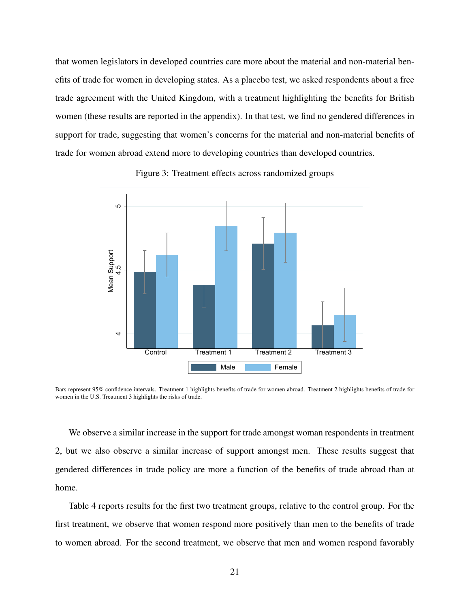that women legislators in developed countries care more about the material and non-material benefits of trade for women in developing states. As a placebo test, we asked respondents about a free trade agreement with the United Kingdom, with a treatment highlighting the benefits for British women (these results are reported in the appendix). In that test, we find no gendered differences in support for trade, suggesting that women's concerns for the material and non-material benefits of trade for women abroad extend more to developing countries than developed countries.

<span id="page-21-0"></span>

Figure 3: Treatment effects across randomized groups

Bars represent 95% confidence intervals. Treatment 1 highlights benefits of trade for women abroad. Treatment 2 highlights benefits of trade for women in the U.S. Treatment 3 highlights the risks of trade.

We observe a similar increase in the support for trade amongst woman respondents in treatment 2, but we also observe a similar increase of support amongst men. These results suggest that gendered differences in trade policy are more a function of the benefits of trade abroad than at home.

Table [4](#page-22-0) reports results for the first two treatment groups, relative to the control group. For the first treatment, we observe that women respond more positively than men to the benefits of trade to women abroad. For the second treatment, we observe that men and women respond favorably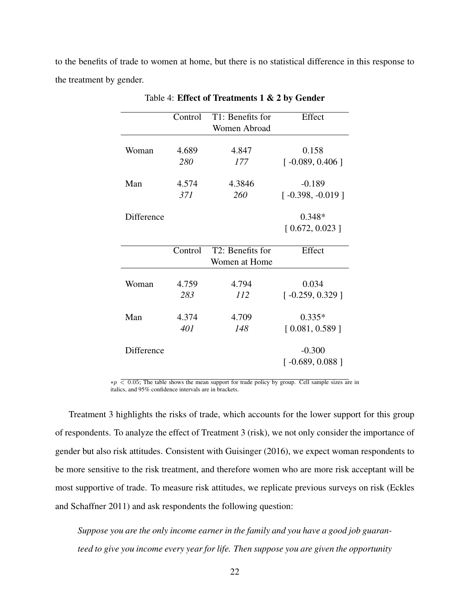<span id="page-22-0"></span>to the benefits of trade to women at home, but there is no statistical difference in this response to the treatment by gender.

|            | Control | T1: Benefits for<br>Women Abroad  | Effect             |
|------------|---------|-----------------------------------|--------------------|
| Woman      | 4.689   | 4.847                             | 0.158              |
|            | 280     | 177                               | $[-0.089, 0.406]$  |
| Man        | 4.574   | 4.3846                            | $-0.189$           |
|            | 371     | 260                               | $[-0.398, -0.019]$ |
| Difference |         |                                   | $0.348*$           |
|            |         |                                   | [0.672, 0.023]     |
|            | Control | T2: Benefits for<br>Women at Home | Effect             |
| Woman      | 4.759   | 4.794                             | 0.034              |
|            | 283     | 112                               | $[-0.259, 0.329]$  |
| Man        | 4.374   | 4.709                             | $0.335*$           |
|            | 401     | 148                               | [0.081, 0.589]     |
| Difference |         |                                   | $-0.300$           |
|            |         |                                   | $[-0.689, 0.088]$  |

Table 4: Effect of Treatments 1 & 2 by Gender

 $*p$  < 0.05; The table shows the mean support for trade policy by group. Cell sample sizes are in italics, and 95% confidence intervals are in brackets.

Treatment 3 highlights the risks of trade, which accounts for the lower support for this group of respondents. To analyze the effect of Treatment 3 (risk), we not only consider the importance of gender but also risk attitudes. Consistent with [Guisinger](#page-29-0) [\(2016\)](#page-29-0), we expect woman respondents to be more sensitive to the risk treatment, and therefore women who are more risk acceptant will be most supportive of trade. To measure risk attitudes, we replicate previous surveys on risk [\(Eckles](#page-29-9) [and Schaffner 2011\)](#page-29-9) and ask respondents the following question:

*Suppose you are the only income earner in the family and you have a good job guaranteed to give you income every year for life. Then suppose you are given the opportunity*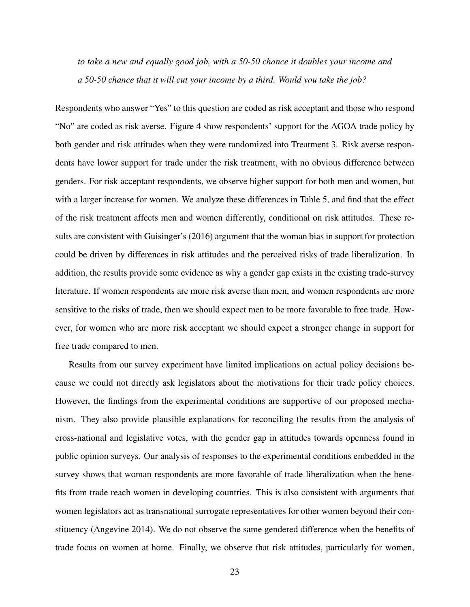*to take a new and equally good job, with a 50-50 chance it doubles your income and a 50-50 chance that it will cut your income by a third. Would you take the job?*

Respondents who answer "Yes" to this question are coded as risk acceptant and those who respond "No" are coded as risk averse. Figure [4](#page-25-0) show respondents' support for the AGOA trade policy by both gender and risk attitudes when they were randomized into Treatment 3. Risk averse respondents have lower support for trade under the risk treatment, with no obvious difference between genders. For risk acceptant respondents, we observe higher support for both men and women, but with a larger increase for women. We analyze these differences in Table [5,](#page-24-0) and find that the effect of the risk treatment affects men and women differently, conditional on risk attitudes. These results are consistent with [Guisinger'](#page-29-0)s [\(2016\)](#page-29-0) argument that the woman bias in support for protection could be driven by differences in risk attitudes and the perceived risks of trade liberalization. In addition, the results provide some evidence as why a gender gap exists in the existing trade-survey literature. If women respondents are more risk averse than men, and women respondents are more sensitive to the risks of trade, then we should expect men to be more favorable to free trade. However, for women who are more risk acceptant we should expect a stronger change in support for free trade compared to men.

Results from our survey experiment have limited implications on actual policy decisions because we could not directly ask legislators about the motivations for their trade policy choices. However, the findings from the experimental conditions are supportive of our proposed mechanism. They also provide plausible explanations for reconciling the results from the analysis of cross-national and legislative votes, with the gender gap in attitudes towards openness found in public opinion surveys. Our analysis of responses to the experimental conditions embedded in the survey shows that woman respondents are more favorable of trade liberalization when the benefits from trade reach women in developing countries. This is also consistent with arguments that women legislators act as transnational surrogate representatives for other women beyond their constituency [\(Angevine 2014\)](#page-27-6). We do not observe the same gendered difference when the benefits of trade focus on women at home. Finally, we observe that risk attitudes, particularly for women,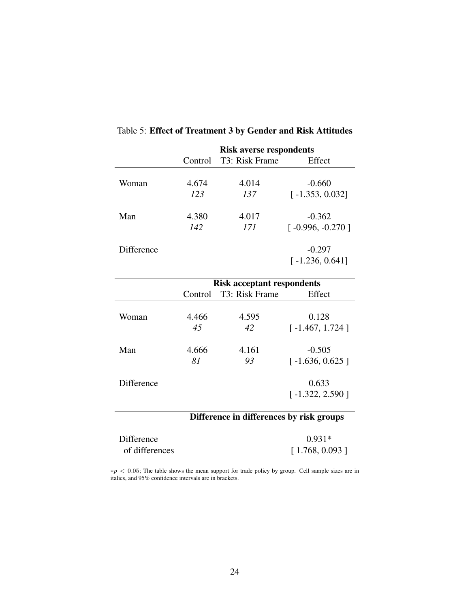|                                          | <b>Risk averse respondents</b> |                                   |                    |
|------------------------------------------|--------------------------------|-----------------------------------|--------------------|
|                                          | Control                        | T3: Risk Frame                    | Effect             |
|                                          |                                |                                   |                    |
| Woman                                    | 4.674                          | 4.014                             | $-0.660$           |
|                                          | 123                            | 137                               | $[-1.353, 0.032]$  |
| Man                                      | 4.380                          | 4.017                             | $-0.362$           |
|                                          | 142                            | 171                               | $[-0.996, -0.270]$ |
| Difference                               |                                |                                   | $-0.297$           |
|                                          |                                |                                   | $[-1.236, 0.641]$  |
|                                          |                                | <b>Risk acceptant respondents</b> |                    |
|                                          | Control                        | T3: Risk Frame                    | Effect             |
| Woman                                    | 4.466                          | 4.595                             | 0.128              |
|                                          | 45                             | 42                                | $[-1.467, 1.724]$  |
|                                          |                                |                                   |                    |
| Man                                      | 4.666                          | 4.161                             | $-0.505$           |
|                                          | 81                             | 93                                | $[-1.636, 0.625]$  |
| Difference                               |                                |                                   | 0.633              |
|                                          |                                |                                   | $[-1.322, 2.590]$  |
| Difference in differences by risk groups |                                |                                   |                    |
|                                          |                                |                                   |                    |
| Difference                               |                                |                                   | $0.931*$           |
| of differences                           |                                |                                   | [1.768, 0.093]     |

<span id="page-24-0"></span>Table 5: Effect of Treatment 3 by Gender and Risk Attitudes

 $*p < 0.05$ ; The table shows the mean support for trade policy by group. Cell sample sizes are in italics, and 95% confidence intervals are in brackets.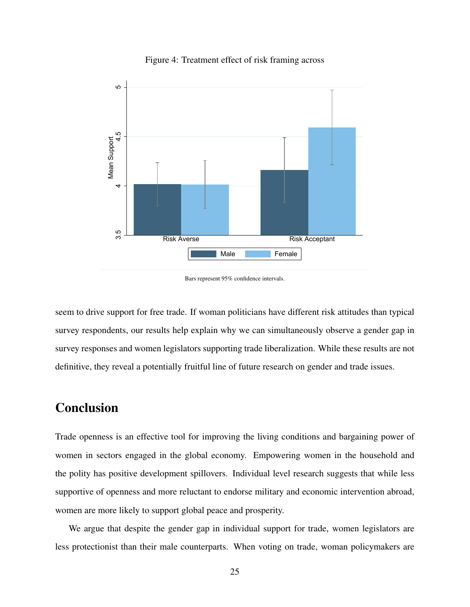<span id="page-25-0"></span>

Figure 4: Treatment effect of risk framing across

seem to drive support for free trade. If woman politicians have different risk attitudes than typical survey respondents, our results help explain why we can simultaneously observe a gender gap in survey responses and women legislators supporting trade liberalization. While these results are not definitive, they reveal a potentially fruitful line of future research on gender and trade issues.

### Conclusion

Trade openness is an effective tool for improving the living conditions and bargaining power of women in sectors engaged in the global economy. Empowering women in the household and the polity has positive development spillovers. Individual level research suggests that while less supportive of openness and more reluctant to endorse military and economic intervention abroad, women are more likely to support global peace and prosperity.

We argue that despite the gender gap in individual support for trade, women legislators are less protectionist than their male counterparts. When voting on trade, woman policymakers are

Bars represent 95% confidence intervals.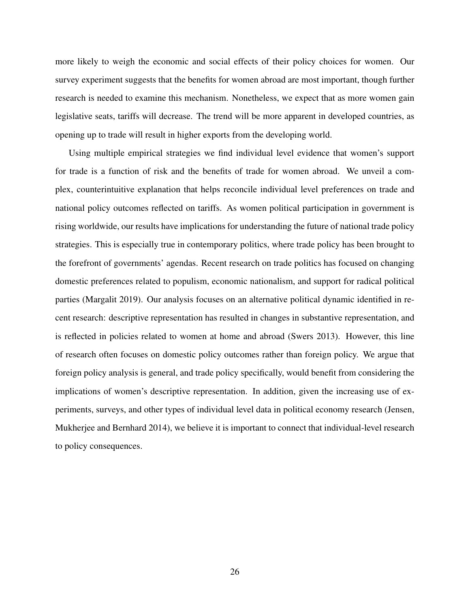more likely to weigh the economic and social effects of their policy choices for women. Our survey experiment suggests that the benefits for women abroad are most important, though further research is needed to examine this mechanism. Nonetheless, we expect that as more women gain legislative seats, tariffs will decrease. The trend will be more apparent in developed countries, as opening up to trade will result in higher exports from the developing world.

Using multiple empirical strategies we find individual level evidence that women's support for trade is a function of risk and the benefits of trade for women abroad. We unveil a complex, counterintuitive explanation that helps reconcile individual level preferences on trade and national policy outcomes reflected on tariffs. As women political participation in government is rising worldwide, our results have implications for understanding the future of national trade policy strategies. This is especially true in contemporary politics, where trade policy has been brought to the forefront of governments' agendas. Recent research on trade politics has focused on changing domestic preferences related to populism, economic nationalism, and support for radical political parties [\(Margalit 2019\)](#page-31-6). Our analysis focuses on an alternative political dynamic identified in recent research: descriptive representation has resulted in changes in substantive representation, and is reflected in policies related to women at home and abroad [\(Swers 2013\)](#page-32-3). However, this line of research often focuses on domestic policy outcomes rather than foreign policy. We argue that foreign policy analysis is general, and trade policy specifically, would benefit from considering the implications of women's descriptive representation. In addition, given the increasing use of experiments, surveys, and other types of individual level data in political economy research [\(Jensen,](#page-30-9) [Mukherjee and Bernhard 2014\)](#page-30-9), we believe it is important to connect that individual-level research to policy consequences.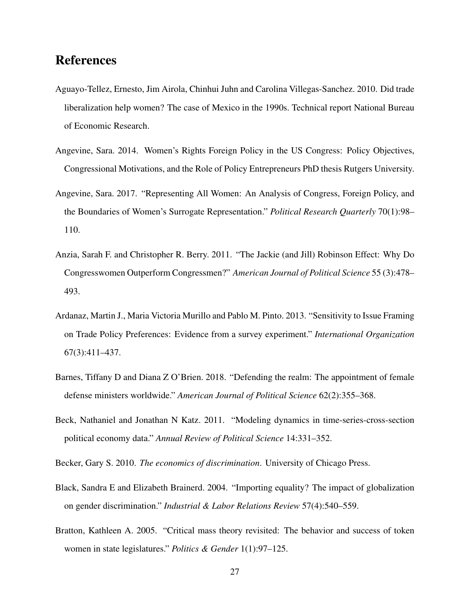### References

- <span id="page-27-2"></span>Aguayo-Tellez, Ernesto, Jim Airola, Chinhui Juhn and Carolina Villegas-Sanchez. 2010. Did trade liberalization help women? The case of Mexico in the 1990s. Technical report National Bureau of Economic Research.
- <span id="page-27-6"></span>Angevine, Sara. 2014. Women's Rights Foreign Policy in the US Congress: Policy Objectives, Congressional Motivations, and the Role of Policy Entrepreneurs PhD thesis Rutgers University.
- <span id="page-27-4"></span>Angevine, Sara. 2017. "Representing All Women: An Analysis of Congress, Foreign Policy, and the Boundaries of Women's Surrogate Representation." *Political Research Quarterly* 70(1):98– 110.
- <span id="page-27-5"></span>Anzia, Sarah F. and Christopher R. Berry. 2011. "The Jackie (and Jill) Robinson Effect: Why Do Congresswomen Outperform Congressmen?" *American Journal of Political Science* 55 (3):478– 493.
- <span id="page-27-0"></span>Ardanaz, Martin J., Maria Victoria Murillo and Pablo M. Pinto. 2013. "Sensitivity to Issue Framing on Trade Policy Preferences: Evidence from a survey experiment." *International Organization* 67(3):411–437.
- <span id="page-27-7"></span>Barnes, Tiffany D and Diana Z O'Brien. 2018. "Defending the realm: The appointment of female defense ministers worldwide." *American Journal of Political Science* 62(2):355–368.
- <span id="page-27-9"></span>Beck, Nathaniel and Jonathan N Katz. 2011. "Modeling dynamics in time-series-cross-section political economy data." *Annual Review of Political Science* 14:331–352.
- <span id="page-27-3"></span>Becker, Gary S. 2010. *The economics of discrimination*. University of Chicago Press.
- <span id="page-27-1"></span>Black, Sandra E and Elizabeth Brainerd. 2004. "Importing equality? The impact of globalization on gender discrimination." *Industrial & Labor Relations Review* 57(4):540–559.
- <span id="page-27-8"></span>Bratton, Kathleen A. 2005. "Critical mass theory revisited: The behavior and success of token women in state legislatures." *Politics & Gender* 1(1):97–125.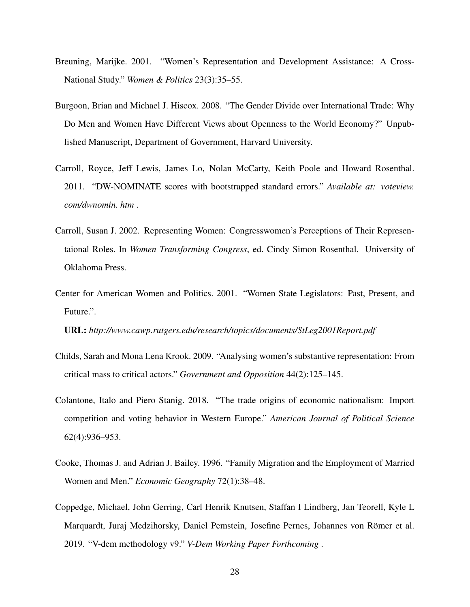- <span id="page-28-4"></span>Breuning, Marijke. 2001. "Women's Representation and Development Assistance: A Cross-National Study." *Women & Politics* 23(3):35–55.
- <span id="page-28-0"></span>Burgoon, Brian and Michael J. Hiscox. 2008. "The Gender Divide over International Trade: Why Do Men and Women Have Different Views about Openness to the World Economy?" Unpublished Manuscript, Department of Government, Harvard University.
- <span id="page-28-8"></span>Carroll, Royce, Jeff Lewis, James Lo, Nolan McCarty, Keith Poole and Howard Rosenthal. 2011. "DW-NOMINATE scores with bootstrapped standard errors." *Available at: voteview. com/dwnomin. htm* .
- <span id="page-28-6"></span>Carroll, Susan J. 2002. Representing Women: Congresswomen's Perceptions of Their Representaional Roles. In *Women Transforming Congress*, ed. Cindy Simon Rosenthal. University of Oklahoma Press.
- <span id="page-28-3"></span>Center for American Women and Politics. 2001. "Women State Legislators: Past, Present, and Future.".

URL: *http://www.cawp.rutgers.edu/research/topics/documents/StLeg2001Report.pdf*

- <span id="page-28-5"></span>Childs, Sarah and Mona Lena Krook. 2009. "Analysing women's substantive representation: From critical mass to critical actors." *Government and Opposition* 44(2):125–145.
- <span id="page-28-1"></span>Colantone, Italo and Piero Stanig. 2018. "The trade origins of economic nationalism: Import competition and voting behavior in Western Europe." *American Journal of Political Science* 62(4):936–953.
- <span id="page-28-2"></span>Cooke, Thomas J. and Adrian J. Bailey. 1996. "Family Migration and the Employment of Married Women and Men." *Economic Geography* 72(1):38–48.
- <span id="page-28-7"></span>Coppedge, Michael, John Gerring, Carl Henrik Knutsen, Staffan I Lindberg, Jan Teorell, Kyle L Marquardt, Juraj Medzihorsky, Daniel Pemstein, Josefine Pernes, Johannes von Römer et al. 2019. "V-dem methodology v9." *V-Dem Working Paper Forthcoming* .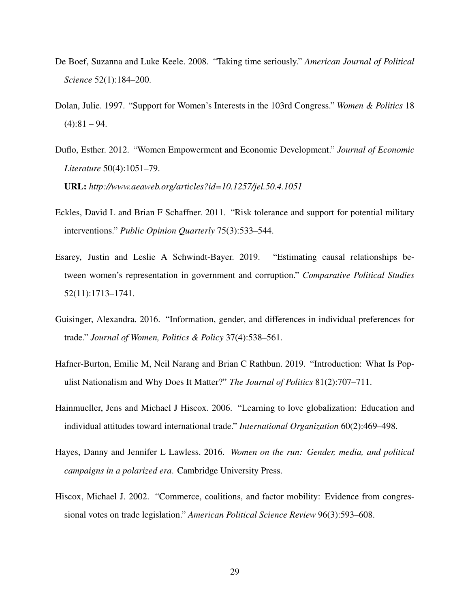- <span id="page-29-6"></span>De Boef, Suzanna and Luke Keele. 2008. "Taking time seriously." *American Journal of Political Science* 52(1):184–200.
- <span id="page-29-3"></span>Dolan, Julie. 1997. "Support for Women's Interests in the 103rd Congress." *Women & Politics* 18  $(4):81 - 94.$
- <span id="page-29-4"></span>Duflo, Esther. 2012. "Women Empowerment and Economic Development." *Journal of Economic Literature* 50(4):1051–79.

URL: *http://www.aeaweb.org/articles?id=10.1257/jel.50.4.1051*

- <span id="page-29-9"></span>Eckles, David L and Brian F Schaffner. 2011. "Risk tolerance and support for potential military interventions." *Public Opinion Quarterly* 75(3):533–544.
- <span id="page-29-7"></span>Esarey, Justin and Leslie A Schwindt-Bayer. 2019. "Estimating causal relationships between women's representation in government and corruption." *Comparative Political Studies* 52(11):1713–1741.
- <span id="page-29-0"></span>Guisinger, Alexandra. 2016. "Information, gender, and differences in individual preferences for trade." *Journal of Women, Politics & Policy* 37(4):538–561.
- <span id="page-29-2"></span>Hafner-Burton, Emilie M, Neil Narang and Brian C Rathbun. 2019. "Introduction: What Is Populist Nationalism and Why Does It Matter?" *The Journal of Politics* 81(2):707–711.
- <span id="page-29-1"></span>Hainmueller, Jens and Michael J Hiscox. 2006. "Learning to love globalization: Education and individual attitudes toward international trade." *International Organization* 60(2):469–498.
- <span id="page-29-5"></span>Hayes, Danny and Jennifer L Lawless. 2016. *Women on the run: Gender, media, and political campaigns in a polarized era*. Cambridge University Press.
- <span id="page-29-8"></span>Hiscox, Michael J. 2002. "Commerce, coalitions, and factor mobility: Evidence from congressional votes on trade legislation." *American Political Science Review* 96(3):593–608.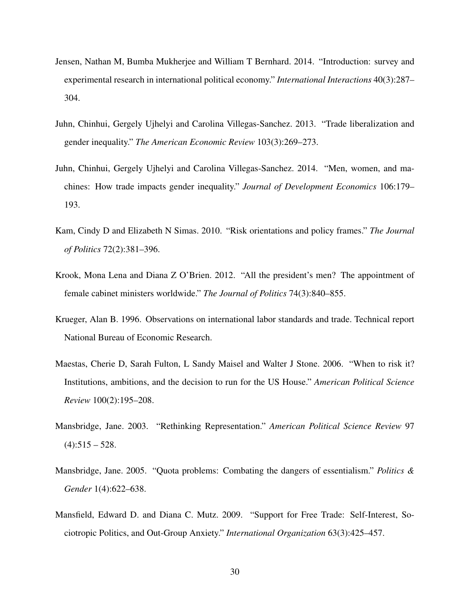- <span id="page-30-9"></span>Jensen, Nathan M, Bumba Mukherjee and William T Bernhard. 2014. "Introduction: survey and experimental research in international political economy." *International Interactions* 40(3):287– 304.
- <span id="page-30-3"></span>Juhn, Chinhui, Gergely Ujhelyi and Carolina Villegas-Sanchez. 2013. "Trade liberalization and gender inequality." *The American Economic Review* 103(3):269–273.
- <span id="page-30-4"></span>Juhn, Chinhui, Gergely Ujhelyi and Carolina Villegas-Sanchez. 2014. "Men, women, and machines: How trade impacts gender inequality." *Journal of Development Economics* 106:179– 193.
- <span id="page-30-8"></span>Kam, Cindy D and Elizabeth N Simas. 2010. "Risk orientations and policy frames." *The Journal of Politics* 72(2):381–396.
- <span id="page-30-7"></span>Krook, Mona Lena and Diana Z O'Brien. 2012. "All the president's men? The appointment of female cabinet ministers worldwide." *The Journal of Politics* 74(3):840–855.
- <span id="page-30-5"></span>Krueger, Alan B. 1996. Observations on international labor standards and trade. Technical report National Bureau of Economic Research.
- <span id="page-30-1"></span>Maestas, Cherie D, Sarah Fulton, L Sandy Maisel and Walter J Stone. 2006. "When to risk it? Institutions, ambitions, and the decision to run for the US House." *American Political Science Review* 100(2):195–208.
- <span id="page-30-6"></span>Mansbridge, Jane. 2003. "Rethinking Representation." *American Political Science Review* 97  $(4):$ 515 – 528.
- <span id="page-30-2"></span>Mansbridge, Jane. 2005. "Quota problems: Combating the dangers of essentialism." *Politics & Gender* 1(4):622–638.
- <span id="page-30-0"></span>Mansfield, Edward D. and Diana C. Mutz. 2009. "Support for Free Trade: Self-Interest, Sociotropic Politics, and Out-Group Anxiety." *International Organization* 63(3):425–457.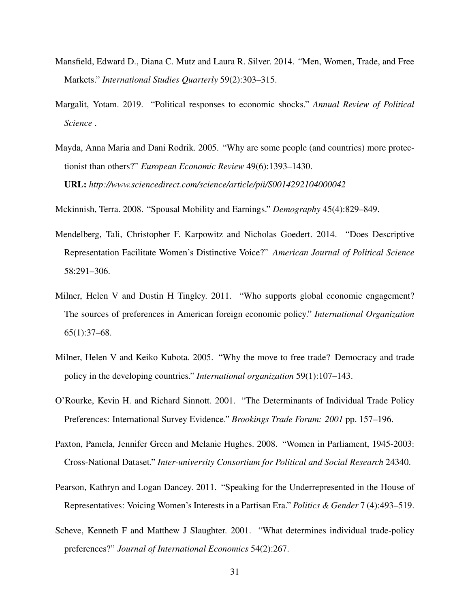- <span id="page-31-4"></span>Mansfield, Edward D., Diana C. Mutz and Laura R. Silver. 2014. "Men, Women, Trade, and Free Markets." *International Studies Quarterly* 59(2):303–315.
- <span id="page-31-6"></span>Margalit, Yotam. 2019. "Political responses to economic shocks." *Annual Review of Political Science* .
- <span id="page-31-3"></span>Mayda, Anna Maria and Dani Rodrik. 2005. "Why are some people (and countries) more protectionist than others?" *European Economic Review* 49(6):1393–1430. URL: *http://www.sciencedirect.com/science/article/pii/S0014292104000042*
- <span id="page-31-7"></span>Mckinnish, Terra. 2008. "Spousal Mobility and Earnings." *Demography* 45(4):829–849.
- <span id="page-31-9"></span>Mendelberg, Tali, Christopher F. Karpowitz and Nicholas Goedert. 2014. "Does Descriptive Representation Facilitate Women's Distinctive Voice?" *American Journal of Political Science* 58:291–306.
- <span id="page-31-10"></span>Milner, Helen V and Dustin H Tingley. 2011. "Who supports global economic engagement? The sources of preferences in American foreign economic policy." *International Organization* 65(1):37–68.
- <span id="page-31-5"></span>Milner, Helen V and Keiko Kubota. 2005. "Why the move to free trade? Democracy and trade policy in the developing countries." *International organization* 59(1):107–143.
- <span id="page-31-1"></span>O'Rourke, Kevin H. and Richard Sinnott. 2001. "The Determinants of Individual Trade Policy Preferences: International Survey Evidence." *Brookings Trade Forum: 2001* pp. 157–196.
- <span id="page-31-0"></span>Paxton, Pamela, Jennifer Green and Melanie Hughes. 2008. "Women in Parliament, 1945-2003: Cross-National Dataset." *Inter-university Consortium for Political and Social Research* 24340.
- <span id="page-31-8"></span>Pearson, Kathryn and Logan Dancey. 2011. "Speaking for the Underrepresented in the House of Representatives: Voicing Women's Interests in a Partisan Era." *Politics & Gender* 7 (4):493–519.
- <span id="page-31-2"></span>Scheve, Kenneth F and Matthew J Slaughter. 2001. "What determines individual trade-policy preferences?" *Journal of International Economics* 54(2):267.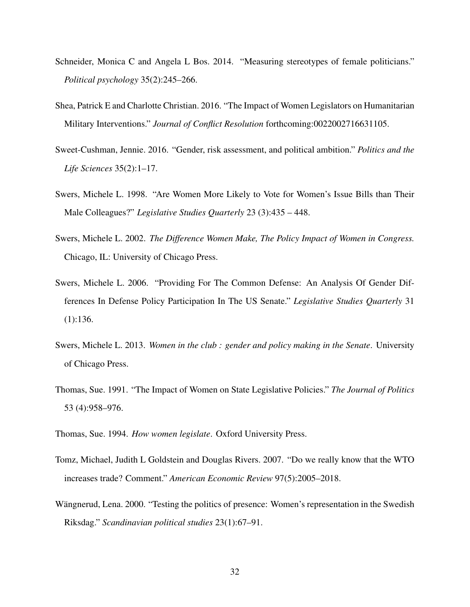- <span id="page-32-1"></span>Schneider, Monica C and Angela L Bos. 2014. "Measuring stereotypes of female politicians." *Political psychology* 35(2):245–266.
- <span id="page-32-8"></span>Shea, Patrick E and Charlotte Christian. 2016. "The Impact of Women Legislators on Humanitarian Military Interventions." *Journal of Conflict Resolution* forthcoming:0022002716631105.
- <span id="page-32-2"></span>Sweet-Cushman, Jennie. 2016. "Gender, risk assessment, and political ambition." *Politics and the Life Sciences* 35(2):1–17.
- <span id="page-32-6"></span>Swers, Michele L. 1998. "Are Women More Likely to Vote for Women's Issue Bills than Their Male Colleagues?" *Legislative Studies Quarterly* 23 (3):435 – 448.
- <span id="page-32-7"></span>Swers, Michele L. 2002. *The Difference Women Make, The Policy Impact of Women in Congress.* Chicago, IL: University of Chicago Press.
- <span id="page-32-5"></span>Swers, Michele L. 2006. "Providing For The Common Defense: An Analysis Of Gender Differences In Defense Policy Participation In The US Senate." *Legislative Studies Quarterly* 31 (1):136.
- <span id="page-32-3"></span>Swers, Michele L. 2013. *Women in the club : gender and policy making in the Senate*. University of Chicago Press.
- <span id="page-32-9"></span>Thomas, Sue. 1991. "The Impact of Women on State Legislative Policies." *The Journal of Politics* 53 (4):958–976.
- <span id="page-32-10"></span>Thomas, Sue. 1994. *How women legislate*. Oxford University Press.
- <span id="page-32-0"></span>Tomz, Michael, Judith L Goldstein and Douglas Rivers. 2007. "Do we really know that the WTO increases trade? Comment." *American Economic Review* 97(5):2005–2018.
- <span id="page-32-4"></span>Wängnerud, Lena. 2000. "Testing the politics of presence: Women's representation in the Swedish Riksdag." *Scandinavian political studies* 23(1):67–91.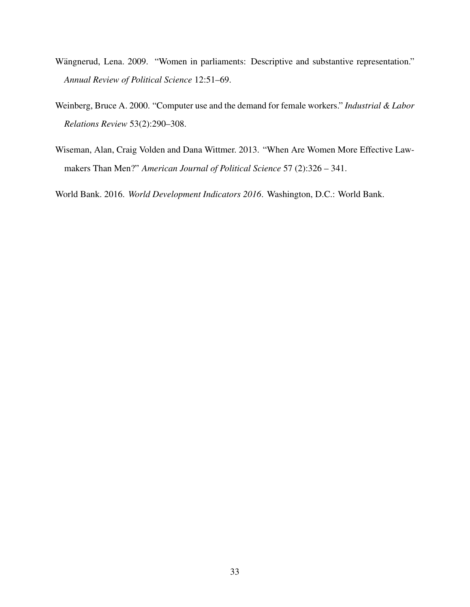- <span id="page-33-1"></span>Wängnerud, Lena. 2009. "Women in parliaments: Descriptive and substantive representation." *Annual Review of Political Science* 12:51–69.
- <span id="page-33-2"></span>Weinberg, Bruce A. 2000. "Computer use and the demand for female workers." *Industrial & Labor Relations Review* 53(2):290–308.
- <span id="page-33-3"></span>Wiseman, Alan, Craig Volden and Dana Wittmer. 2013. "When Are Women More Effective Lawmakers Than Men?" *American Journal of Political Science* 57 (2):326 – 341.

<span id="page-33-0"></span>World Bank. 2016. *World Development Indicators 2016*. Washington, D.C.: World Bank.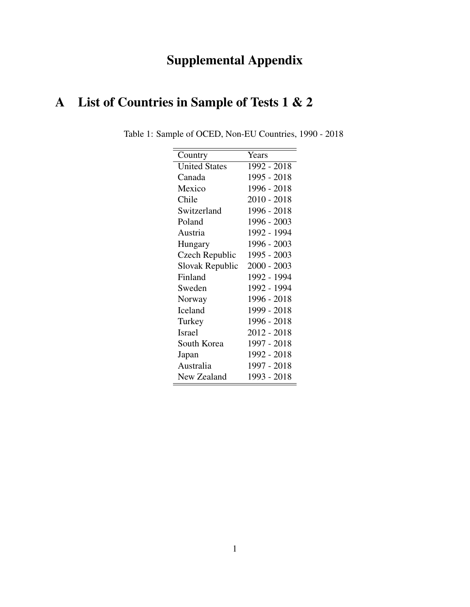# Supplemental Appendix

# A List of Countries in Sample of Tests 1 & 2

| Country              | Years         |
|----------------------|---------------|
| <b>United States</b> | 1992 - 2018   |
| Canada               | 1995 - 2018   |
| Mexico               | 1996 - 2018   |
| Chile                | $2010 - 2018$ |
| Switzerland          | 1996 - 2018   |
| Poland               | 1996 - 2003   |
| Austria              | 1992 - 1994   |
| Hungary              | 1996 - 2003   |
| Czech Republic       | 1995 - 2003   |
| Slovak Republic      | 2000 - 2003   |
| Finland              | 1992 - 1994   |
| Sweden               | 1992 - 1994   |
| Norway               | 1996 - 2018   |
| Iceland              | 1999 - 2018   |
| Turkey               | 1996 - 2018   |
| <b>Israel</b>        | 2012 - 2018   |
| South Korea          | 1997 - 2018   |
| Japan                | 1992 - 2018   |
| Australia            | 1997 - 2018   |
| New Zealand          | 1993 - 2018   |

Table 1: Sample of OCED, Non-EU Countries, 1990 - 2018 <u> Andreas Andreas Andreas Andreas Andreas Andreas Andreas Andreas Andreas Andreas Andreas Andreas Andreas Andreas</u>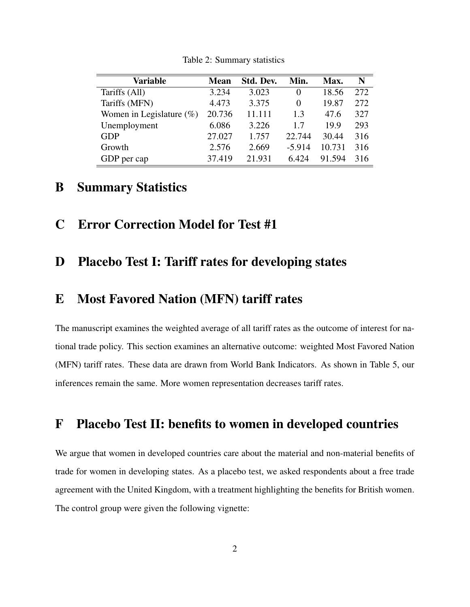| <b>Variable</b>             | <b>Mean</b> | Std. Dev. | Min.     | Max.   | N   |
|-----------------------------|-------------|-----------|----------|--------|-----|
| Tariffs (All)               | 3.234       | 3.023     | $\theta$ | 18.56  | 272 |
| Tariffs (MFN)               | 4.473       | 3.375     | $\Omega$ | 19.87  | 272 |
| Women in Legislature $(\%)$ | 20.736      | 11.111    | 1.3      | 47.6   | 327 |
| Unemployment                | 6.086       | 3.226     | 1.7      | 19.9   | 293 |
| <b>GDP</b>                  | 27.027      | 1.757     | 22.744   | 30.44  | 316 |
| Growth                      | 2.576       | 2.669     | $-5.914$ | 10.731 | 316 |
| GDP per cap                 | 37.419      | 21.931    | 6.424    | 91.594 | 316 |

Table 2: Summary statistics

### B Summary Statistics

C Error Correction Model for Test #1

### D Placebo Test I: Tariff rates for developing states

### E Most Favored Nation (MFN) tariff rates

The manuscript examines the weighted average of all tariff rates as the outcome of interest for national trade policy. This section examines an alternative outcome: weighted Most Favored Nation (MFN) tariff rates. These data are drawn from World Bank Indicators. As shown in Table 5, our inferences remain the same. More women representation decreases tariff rates.

### F Placebo Test II: benefits to women in developed countries

We argue that women in developed countries care about the material and non-material benefits of trade for women in developing states. As a placebo test, we asked respondents about a free trade agreement with the United Kingdom, with a treatment highlighting the benefits for British women. The control group were given the following vignette: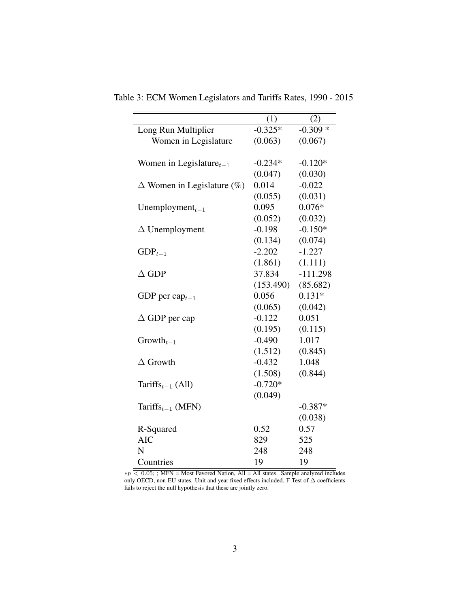|                                           | (1)       | (2)        |
|-------------------------------------------|-----------|------------|
| Long Run Multiplier                       | $-0.325*$ | $-0.309*$  |
| Women in Legislature                      | (0.063)   | (0.067)    |
|                                           |           |            |
| Women in Legislature $_{t-1}$             | $-0.234*$ | $-0.120*$  |
|                                           | (0.047)   | (0.030)    |
| $\Delta$ Women in Legislature (%)         | 0.014     | $-0.022$   |
|                                           | (0.055)   | (0.031)    |
| Unemployment $_{t-1}$                     | 0.095     | $0.076*$   |
|                                           | (0.052)   | (0.032)    |
| $\Delta$ Unemployment                     | $-0.198$  | $-0.150*$  |
|                                           | (0.134)   | (0.074)    |
| $GDP_{t-1}$                               | $-2.202$  | $-1.227$   |
|                                           | (1.861)   | (1.111)    |
| $\Delta$ GDP                              | 37.834    | $-111.298$ |
|                                           | (153.490) | (85.682)   |
| GDP per cap $_{t-1}$                      | 0.056     | $0.131*$   |
|                                           | (0.065)   | (0.042)    |
| $\Delta$ GDP per cap                      | $-0.122$  | 0.051      |
|                                           | (0.195)   | (0.115)    |
| $Growth_{t-1}$                            | $-0.490$  | 1.017      |
|                                           | (1.512)   | (0.845)    |
| $\Delta$ Growth                           | $-0.432$  | 1.048      |
|                                           | (1.508)   | (0.844)    |
| Tariffs <sub><math>t-1</math></sub> (All) | $-0.720*$ |            |
|                                           | (0.049)   |            |
| Tariffs $_{t-1}$ (MFN)                    |           | $-0.387*$  |
|                                           |           | (0.038)    |
| R-Squared                                 | 0.52      | 0.57       |
| <b>AIC</b>                                | 829       | 525        |
| N                                         | 248       | 248        |
| Countries                                 | 19        | 19         |

Table 3: ECM Women Legislators and Tariffs Rates, 1990 - 2015

∗p < 0.05; ; MFN = Most Favored Nation, All = All states. Sample analyzed includes only OECD, non-EU states. Unit and year fixed effects included. F-Test of ∆ coefficients fails to reject the null hypothesis that these are jointly zero.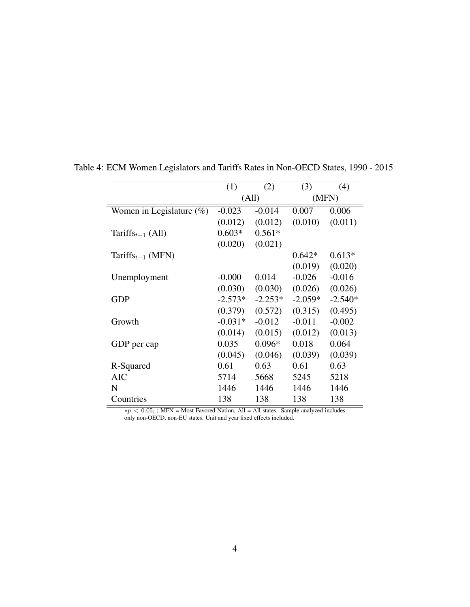|                                           | (1)       | (2)       | (3)       | (4)       |
|-------------------------------------------|-----------|-----------|-----------|-----------|
|                                           | (All)     |           | (MFN)     |           |
| Women in Legislature $(\%)$               | $-0.023$  | $-0.014$  | 0.007     | 0.006     |
|                                           | (0.012)   | (0.012)   | (0.010)   | (0.011)   |
| Tariffs <sub><math>t-1</math></sub> (All) | $0.603*$  | $0.561*$  |           |           |
|                                           | (0.020)   | (0.021)   |           |           |
| Tariffs <sub><math>t-1</math></sub> (MFN) |           |           | $0.642*$  | $0.613*$  |
|                                           |           |           | (0.019)   | (0.020)   |
| Unemployment                              | $-0.000$  | 0.014     | $-0.026$  | $-0.016$  |
|                                           | (0.030)   | (0.030)   | (0.026)   | (0.026)   |
| <b>GDP</b>                                | $-2.573*$ | $-2.253*$ | $-2.059*$ | $-2.540*$ |
|                                           | (0.379)   | (0.572)   | (0.315)   | (0.495)   |
| Growth                                    | $-0.031*$ | $-0.012$  | $-0.011$  | $-0.002$  |
|                                           | (0.014)   | (0.015)   | (0.012)   | (0.013)   |
| GDP per cap                               | 0.035     | $0.096*$  | 0.018     | 0.064     |
|                                           | (0.045)   | (0.046)   | (0.039)   | (0.039)   |
| R-Squared                                 | 0.61      | 0.63      | 0.61      | 0.63      |
| AIC                                       | 5714      | 5668      | 5245      | 5218      |
| N                                         | 1446      | 1446      | 1446      | 1446      |
| Countries                                 | 138       | 138       | 138       | 138       |

Table 4: ECM Women Legislators and Tariffs Rates in Non-OECD States, 1990 - 2015

∗p < 0.05; ; MFN = Most Favored Nation, All = All states. Sample analyzed includes only non-OECD, non-EU states. Unit and year fixed effects included.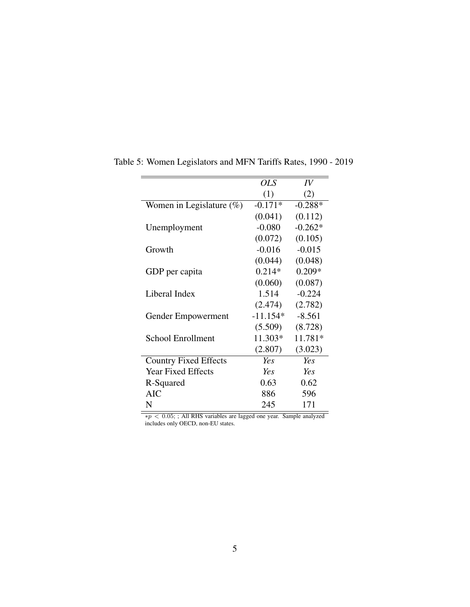|                              | <b>OLS</b> | IV        |
|------------------------------|------------|-----------|
|                              | (1)        | (2)       |
| Women in Legislature $(\%)$  | $-0.171*$  | $-0.288*$ |
|                              | (0.041)    | (0.112)   |
| Unemployment                 | $-0.080$   | $-0.262*$ |
|                              | (0.072)    | (0.105)   |
| Growth                       | $-0.016$   | $-0.015$  |
|                              | (0.044)    | (0.048)   |
| GDP per capita               | $0.214*$   | $0.209*$  |
|                              | (0.060)    | (0.087)   |
| Liberal Index                | 1.514      | $-0.224$  |
|                              | (2.474)    | (2.782)   |
| Gender Empowerment           | $-11.154*$ | $-8.561$  |
|                              | (5.509)    | (8.728)   |
| <b>School Enrollment</b>     | 11.303*    | 11.781*   |
|                              | (2.807)    | (3.023)   |
| <b>Country Fixed Effects</b> | Ye s       | Yes       |
| <b>Year Fixed Effects</b>    | Yes        | Yes       |
| R-Squared                    | 0.63       | 0.62      |
| <b>AIC</b>                   | 886        | 596       |
| N                            | 245        | 171       |

Table 5: Women Legislators and MFN Tariffs Rates, 1990 - 2019

∗p < 0.05; ; All RHS variables are lagged one year. Sample analyzed includes only OECD, non-EU states.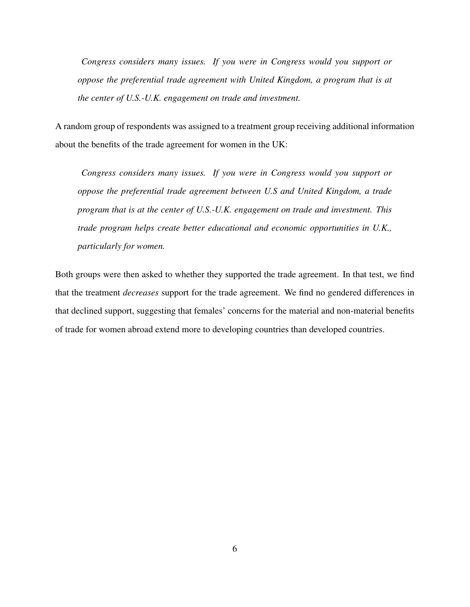*Congress considers many issues. If you were in Congress would you support or oppose the preferential trade agreement with United Kingdom, a program that is at the center of U.S.-U.K. engagement on trade and investment.*

A random group of respondents was assigned to a treatment group receiving additional information about the benefits of the trade agreement for women in the UK:

*Congress considers many issues. If you were in Congress would you support or oppose the preferential trade agreement between U.S and United Kingdom, a trade program that is at the center of U.S.-U.K. engagement on trade and investment. This trade program helps create better educational and economic opportunities in U.K., particularly for women.*

Both groups were then asked to whether they supported the trade agreement. In that test, we find that the treatment *decreases* support for the trade agreement. We find no gendered differences in that declined support, suggesting that females' concerns for the material and non-material benefits of trade for women abroad extend more to developing countries than developed countries.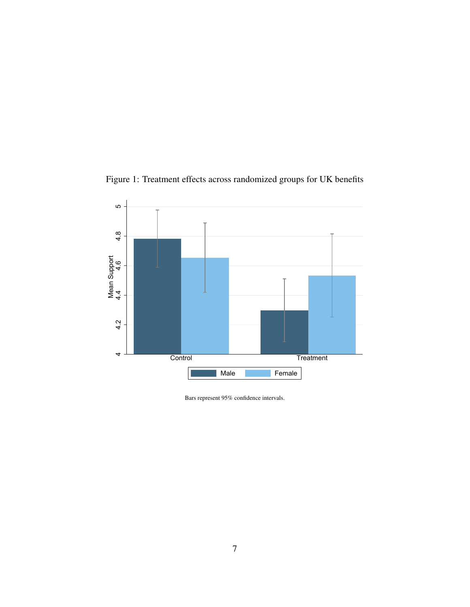

Figure 1: Treatment effects across randomized groups for UK benefits

Bars represent 95% confidence intervals.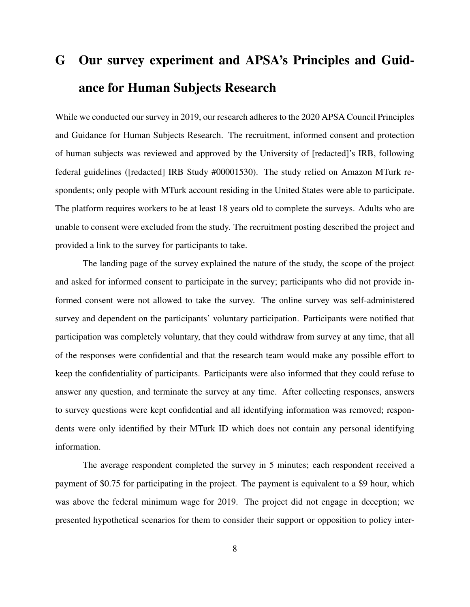# G Our survey experiment and APSA's Principles and Guidance for Human Subjects Research

While we conducted our survey in 2019, our research adheres to the 2020 APSA Council Principles and Guidance for Human Subjects Research. The recruitment, informed consent and protection of human subjects was reviewed and approved by the University of [redacted]'s IRB, following federal guidelines ([redacted] IRB Study #00001530). The study relied on Amazon MTurk respondents; only people with MTurk account residing in the United States were able to participate. The platform requires workers to be at least 18 years old to complete the surveys. Adults who are unable to consent were excluded from the study. The recruitment posting described the project and provided a link to the survey for participants to take.

The landing page of the survey explained the nature of the study, the scope of the project and asked for informed consent to participate in the survey; participants who did not provide informed consent were not allowed to take the survey. The online survey was self-administered survey and dependent on the participants' voluntary participation. Participants were notified that participation was completely voluntary, that they could withdraw from survey at any time, that all of the responses were confidential and that the research team would make any possible effort to keep the confidentiality of participants. Participants were also informed that they could refuse to answer any question, and terminate the survey at any time. After collecting responses, answers to survey questions were kept confidential and all identifying information was removed; respondents were only identified by their MTurk ID which does not contain any personal identifying information.

The average respondent completed the survey in 5 minutes; each respondent received a payment of \$0.75 for participating in the project. The payment is equivalent to a \$9 hour, which was above the federal minimum wage for 2019. The project did not engage in deception; we presented hypothetical scenarios for them to consider their support or opposition to policy inter